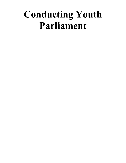# **Conducting Youth Parliament**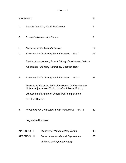# **Contents**

| <b>FOREWORD</b>                                                              |  |                    | 111                                                                                                                 |    |
|------------------------------------------------------------------------------|--|--------------------|---------------------------------------------------------------------------------------------------------------------|----|
| 1.                                                                           |  |                    | <b>Introduction: Why Youth Parliament</b>                                                                           | 1  |
| 2.                                                                           |  |                    | Indian Parliament at a Glance                                                                                       | 9  |
| 3.                                                                           |  |                    | Preparing for the Youth Parliament                                                                                  | 15 |
| 4.                                                                           |  |                    | Procedure for Conducting Youth Parliament - Part I                                                                  | 22 |
|                                                                              |  |                    | Seating Arrangement, Formal Sitting of the House, Oath or                                                           |    |
|                                                                              |  |                    | Affirmation, Obituary Reference, Question Hour                                                                      |    |
| 5.                                                                           |  |                    | Procedure for Conducting Youth Parliament - Part II                                                                 | 31 |
|                                                                              |  |                    | Papers to be laid on the Table of the House, Calling Attention<br>Notice, Adjournment Motion, No-Confidence Motion, |    |
|                                                                              |  |                    | Discussion of Matters of Urgent Public Importance                                                                   |    |
|                                                                              |  | for Short Duration |                                                                                                                     |    |
| 6.                                                                           |  |                    | Procedure for Conducting Youth Parliament - Part III                                                                | 40 |
|                                                                              |  |                    | <b>Legislative Business</b>                                                                                         |    |
|                                                                              |  |                    |                                                                                                                     | 45 |
| <b>APPENDIX</b><br><b>Glossary of Parliamentary Terms</b><br><b>APPENDIX</b> |  |                    |                                                                                                                     |    |
|                                                                              |  | $\mathbf{I}$       | Some of the Words and Expressions                                                                                   | 55 |
|                                                                              |  |                    | declared as Unparliamentary                                                                                         |    |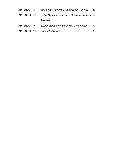| APPENDIX III | The Youth Parliament Competition Scheme                        | 57 |
|--------------|----------------------------------------------------------------|----|
|              | APPENDIX IV List of Business and List of Questions for Oral 62 |    |
|              | Answers                                                        |    |
| APPENDIX V   | Eighth Schedule of the Indian Constitution                     | 77 |

APPENDIX VI Suggested Reading **78**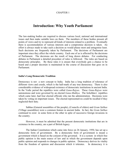#### CHAPTER 1

# **Introduction: Why Youth Parliament**

The law-making bodies are required to discuss various local, national and international issues and then make suitable laws on them. The members of these bodies present all points of views and try to represent all kinds of interests related to a problem. Eventually there is accommodation of various interests and a compromise decision is taken. An effort is always made to take such a decision as would please most and antagonise least. Such decisions are frequently taken by Parliament. The decisions of Parliament are important since they affect the whole country. Each one of us is affected by the decisions of Parliament. The decisions are the result of long drawn debates. For conducting debates in Parliament a detailed procedure of rules is followed. The rules are based on democratic principles. By these rules it is ensure that everybody gets a chance to be heard and a proper decorum is maintained in the course of discussion that goes on in Parliament.

#### **India's Long Democratic Tradition**

Democracy is not a new concept to India. India has a long tradition of tolerance of different views and creeds, which is the hall-mark of any true democracy. There is also considerable evidence of widespread existence of democratic institutions in ancient India. In the Vedic period the republics were called *Gana-Rajyas*. These *Gana-Rajyas* were autonomous and were governed by an elected *Gana-Mukhya.* The lichchhavi republics which came later, had four elected officials who ran the administration. Decisions were taken by voting on important issues. The elected representatives could be recalled if they neglected their duty.

 Sabhas (General assemblies of the people), (Councils of elders) and *Gram Sabhas* (Village assemblies) were a common feature in ancient India. In fact, the *Gram Sabhas*  continued to exist in some form or the other in spite of successive foreign invasions in the country.

 However, it must be admitted that the present democratic institutions that are in existence in the country, are a part of British legacy.

 The Indian Constitution which came into force on 26 January, 1950, has set up a democratic form of government. By a democratic form of government is meant a government which is based on the consent of the governed. It is a system in which free public opinion is the main source of law and in which the government depends upon public opinion and responds to changes in public opinion. Democracy derives its vitality from the freedom of opinion and discussion which it tolerates. In democracy it is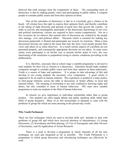believed that truth emerges from the competition of ideas. The outstanding merit of democracy is that by making people voters and participating in public affairs, it compels people to consider public issues and form their opinion on them.

 One of the rationales of democracy is that in it everybody gets a chance to be heard. All citizens have the right to express their opinions freely and thereby contribute to the taking of right decisions and passing of good laws that govern the country. In order to actively and meaningfully participate in the democratic functioning of our civic and political institutions, citizens are required to have certain competencies. Not on a few occasions do we observe that normal rules of discussion are violated by the people who manage civic and political affairs. Decorum which is essential for making any discussion purposeful, is flouted and participants are swayed by emotions. Many a time discussions become one sided in the sense that only the more vocal people present their views and others sit as silent observers. As a result various aspects of a problem are not presented properly, and consequently appropriate decisions are not taken. In some cases where every participant is on his/her toes to present his/her point of view, the very functioning of the institution is jeopardised owing to chaotic conditions prevailing in the deliberations.

 It is, therefore, necessary that at school stage a suitable programme is devised to train students for their role as citizens in a democracy. Education should make students competent enough to consider public issues and form their opinion on them judiciously. Youth is a season of hope and aspiration. It is proper to take advantage of this and develop in our young students the necessary civic competence. A good citizen is supposed to be an expert in human relations. This expertness is needed at a many points; in inter-group relations; across the table in discussion; in family affairs; in local and national affairs. The meaning of citizenship is not only confined to knowing rights and duties, but also extended to areas of human behaviour. WE must have suitable programme to train our students in the filed of human behaviour.

 In schools we give importance to individual scholarship rather than to group product. Our students are often taught debate and public speaking skills rather than skills of group dynamics. Many of us feel increasingly in adequate to cope with the problems of group life which are more pressing in the present-day world.

### **Why Youth Parliament**

There are four techniques which are used to develop skills and attitudes to deal with problems of group life and which have received attention of educationists: (1) Group Discussion, (2) Sociodrama and Role-playing, (3) Use of Sociograms and other Devices of Sociometry, and (4) Application of Action Research.

 There is a need to develop a programme in which elements of all the four techniques are used and integrated as far as possible. The Youth Parliament is a programme in which group discussion and role-playing techniques can effectively be used.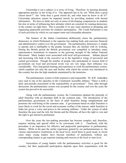Citizenship is not a subject; it is away of living. Therefore, its learning demands appropriate practice in the living of it. Our approach has to be, not "What does a good citizen know?" but "what does a good citizen do, and what must he know to do it?" Citizenship education cannot be imparted merely by providing students with factual information. We have to think not only in terms of developing competencies in students but also in terms of influencing their attitudes which are essential for running democracy in the country on right lines. This is possible if we pay some attention to designing and organising purposeful activities for students' participation. The Youth Parliament is one of such activities by which we can impart some real citizenship education.

 The framers of the Indian Constitution deliberately chose the parliamentary democracy in which Parliament is the supreme law-making body and exercises financial and administrative control over the government. The parliamentary democracy is simple to operate and is intelligible to the people, because they are familiar with its working. During the British period the British government was compelled to introduce many representative institutions in response to the growing strength of the Indian National Movement. Many leaders were associated with local self-government. Indians played and increasing role both in the executive an in the legislative wings of provincial and central government. Though the number of people who participated in various field of government oat local and provincial levels was not very large, their influence was considerable. They had gained training and experience to work the parliamentary system, which explalins not only the ease and facility with which the system was introduced in this country but also the high standards maintained by the instutions.

The parliamentary system is both responsive and responsible. Dr. B.R. Ambedkar once said in one of his speeches in the Constituent Assembly debates: "There is both a daily and periodic assessment of the responsibility of government." Thus, after through discussion, the parliamentary system was accepted for the country and over the years the system has proved to be successful.

 Along with the parliamentary system, the Constitution adopted the principle of adult franchise with an abundant faith in the common man. The introduction of the parliamentary government on the basis of adult franchise brings enlightenment and promotes the well-being of the common man. A government based on adult franchise is more likely to work for the social and economic welfare of the masses. adult franchise in India has given a voice and power to the teeming millions. Under the system of adult franchise the poor and the rich, the literate and the illiterate, all have the right to vote and the right to get elected to parliament.

 Over the years the law-making procedure has become complex and, therefore, requires training and special effort to be conversant with it. Familiarity with the procedure is an imperative for effective and purposeful participation in parliamentary debates. While in the past the earlier experience gained by our parliamentarians in the various representative institutions at the local level, stood them in good stead, in recent years many young leaders have become members of parliament, without any corresponding chance to get requisite training and exercise at the local or state level.

 Association of young leaders with the parliamentary activities is good for the country, but their purposeful participation depends upon their acquaintance with the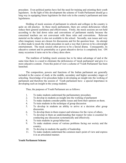procedure. Even political parties have feel the need for training and orienting their youth legislators. In the light of this development the scheme of Youth Parliament should go a long way in equipping future legislators for their role in the country's parliament and state legislatures.

 Holding of mock sessions of parliament in schools and colleges in the country is quite an old practice. In these mock parliaments, there are certain deficiencies which reduce their general usefulness and effectiveness. Firstly, the mock sessions are not held according to the laid down rules and conventions of parliament mainly because the concerned teachers are not conversant with these rules and conventions. Relevant material on the subject is also not available to the school. Secondly, non issues and very often imaginary issues are chosen for discussions and for the question hour. An attempt is often made to mock the whole procedure in such a way that it proves to be a downright entertainment. The mock session often proves to be a farcial drama. Consequently, its educative content and its potentiality as a great educative device is completely lost. ON many occasions it turns out to be a fancy dress show.

 The tradition of holding mock sessions has to be taken advantage of and at the same time there is a need to eliminate the deficiencies of 'mock parliament' and give it a more educative content. From this point of view a scheme of 'Youth Parliament' has been launched.

 The composition, powers and functions of the Indian parliament are generally included in the course of study at the middle, secondary and higher secondary stages of schooling Knowledge of its procedure helps in developing an insight into the working of parliament and therefore the session of Youth parliament have a special importance in developing such an insight in the young students.

Thus, the purposes of Youth Parliament are as follows:

- 1. To make students understand the parliamentary procedure.
- 2. To develop in students an insight into the working of parliament
- 3. To make students consider public issues and form their opinion on them.
- 4. To train students in the technique of group discussion
- 5. To develop in students an ability to arrive at a decision after group discussion.
- 6. To develop them in them respect and tolerance for the views of others.
- 7. To develop in them an understanding that respect for rules is essential for conducting any discussion systematically and effectively.
- 8. To train students in group behaviour.
- 9. To make students aware of various problems facing our society and the country.
- 10. To develop in students the quality of leadership.
- 11. To make students understand the common man's point of view and express it in an articulated manner.

# **Youth Parliament Scheme**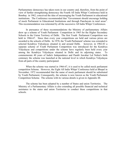Parliamentary democracy has taken roots in our country and, therefore, from the point of view of further strengthening democracy the Fourth All India Whips' Conference held in Bombay in 1962, conceived the idea of encouraging the Youth Parliament in educational institutions. The Conference recommended that "Government should encourage holding of mock Parliament in Educational Institutions and through Panchayats in rural areas". This recommendation was reiterated by all the successive All India Whips' Conferences.

In pursuance of these recommendations the Ministry of parliamentary Affairs drew up a scheme of Youth Parliament Competition in 1965 for the Higher Secondary Schools in the Union Territory of Delhi. The first Youth Parliament Competition was held in 1966-67. Since then every year competitions are held and various prizes are awarded to the schools of Delhi. In 1978, the 'Youth Parliament' scheme was extended to selected Kendriya Vidyalayas situated in and around Delhi. however, in 1982-83 a separate scheme of Youth Parliament Competition was introduced for the Kendriya Vidyalayas and competitions under the scheme have regularly been held every year among the Kendriya Vidyalayas situated in Delhi and its adjoining states. To commemorate 40 years of India's Independence and Pandit Jawahar Lal Nehru's birth centenary the scheme was launched at the national level in which Kendriya Vidyalayas from all parts of the country participated.

When the scheme was started in 1966-67, it is used to be called mock parliament competition Scheme. However, the Eight All India Whips' Conference held at Bhopal in November, 1972 recommended that the name of mock parliament should be substituted by Youth Parliament, Consequently, the scheme is now known as the Youth Parliament Competition Scheme. The scheme with its various details is given in Appendix III.

 The scheme has been adopted by a number of States and union Territories. The Ministry of a Parliamentary Affairs is also extending all possible financial and technical assistance to the states and union Territories to conduct these competitions in that schools.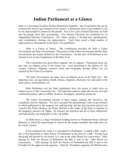#### CHAPTER 2

# **Indian Parliament at a Glance**

India is a Sovereign Socialist Secular Democratic Republic. Our Constitution has set up a democratic form of government in the country. a democratic form of government is run by the representatives chosen by the people. Every five years General Elections are held and the people elect their government. The General Elections are conducted by an independent Election Commission. The whole country is divided into constituencies, each constituency electing one representative. Each State sends a fixed number of representatives determined ion the basis of its population.

 India is a Union of States. The Constitution provides for both a Union Government and State Governments. The powers of the Union Government and the State Governments are clearly defined by the Constitution. On the lines of Parliament at the national level we have legislatures at the State level.

The Constitution has given three separate lists of subjects. Parliament alone can pass laws on subjects given in the Union List. Laws pertaining to the defence of the country, railways, shipping, currency, posts and telegraphs, foreign affairs, etc; are enacted by the Union Government.

The State Government can make laws on subjects given in the State List. The important ones are agriculture, health, forests, irrigation, electricity, law and order in the State, police, entertainment, etc.

Both Parliament and the State legislatures have the power to make laws on subjects given in the Concurrent List. The important subjects under this list are civil and criminal procedure, labour welfare, factories, newspaper, education, books etc.

The Union Government consists of three organs, namely, the Executive, the Legislature and the Judiciary. We have accepted the parliamentary form of government in which parliament is the supreme law-making body and the real executive powers are vested in the Prime Minister. the Prime Minister is the leader of the Party in majority in the popularly elected Lok Sabha. He chooses his ministers and all of them collectively and individually, are responsible to the Lok Sabha.

In Delhi there is a huge Parliament building known as Parliament House (Sansad Bhawan) in which the representatives chosen by the people assemble and make laws for the whole country.

Every proposed law when it is introduced in Parliament is called a Bill. Such a law is first presented in either House of Parliament in the form of a Bill. Having been discussed and passed by one house, it is sent to the other House for concurrence. After passage by both the Houses of Parliament the Bill is sent to the other House for concurrence. After passage by both the Houses of Parliament the Bill is sent to the President for his approval and signature. After the President's signature the Bill becomes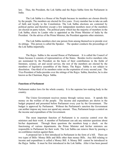law. Thus, the President, the Lok Sabha and the Rajya Sabha form the Parliament in India.

The Lok Sabha is a House of the People because its members are chosen directly by the people. The members are elected for five years. Every member has to take an oath of faith and loyalty to the Constitution. The Lok Sabha elections are contested by political parties and therefore except a few independent members most of the members are elected on party tickets. The political party which has the majority of members in the Lok Sabha, elects its Leader who is appointed as the Prime Minister of India by the President. On the advice of the Prime Minister, the President appoints other ministers.

The Lok Sabha members elect one person from among themselves to preside over its sittings. This person is called the Speaker. The speaker conducts the proceedings of the Lok Sabha impartially.

The Rajya Sabha is the second House of Parliament. It is called the Council of States because it consists of representatives of the States. Besides twelve members who are nominated by the President on the basis of their contributions in the fields of literature, science, art and social service, the rest of the members are elected by the members of legislative assemblies of the States. The Rajya Sabha is not subject to dissolution. One-third of its members retire on the expiration of every second year. The Vice-President of India presides over the sittings of the Rajya Sabha, therefore, he is also known as the Chairman, Rajya Sabha.

#### **Functions of Parliament**

Parliament makes laws for the whole country. It is the supreme law-making body in the country.

 The Union Government receives money through various taxes. It spends this money on the welfare of the people. The income and expenditure are shown in the budget prepared and presented before Parliament every year by the Government. The budget is approved by Parliament. Without the Parliament's sanction the Government can neither impose any taxes nor spend any amount. Thus, Parliament keeps a control on the income and expenditure of the Government.

 The most important function of Parliament is to exercise control over the ministers and their work. A member of Parliament can ask any minister questions about his/her department. Through these questions the members keep a check on the functioning of various departments. the Prime Minister and his/her ministers are responsible to Parliament for their work. The Lok Sabha can remove them by passing a no-confidence motion against them.

 A proposed law is first introduced in Parliament in the form of a bill. There are two types of Bills- Money Bills and Bills other than money Bills. Any Bill relating to income and expenditure is called a Money Bill. A Money Bill cannot be introduced in the Rajya Sabha. It must be first introduced in the Lok Sabha. After it has been passed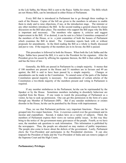in the Lok Sabha, the Money Bill is sent to the Rajya Sabha for return. The Bills which are not Money Bills, can be introduced in either House of Parliament.

 Every Bill that is introduced in Parliament has to go through three readings in each of the Houses. Copies of the bill are given to the members in advance to enable them to study and to raise objections, if nay, at the introduction stage. The minister or any other members introduces the Bill. In the second reading a general clause-by-clause discussion on the Bill takes place. The members who support the Bill argue why the Bills is important and necessary. The members who oppose it, criticize and suggest improvement in the Bill. If so desired, it can be sent to a Select Committee composed of the members of the House, or to a joint committee of both the houses of Parliament which examines the Bill in detail. The Committee reports back with or without proposals for amendments. In the third reading the Bill as a whole is finally discussed and put to vote. If the majority of the members are in its favour, the Bill is passed.

 This procedure is followed in both the Houses. When both the Lok Sabha and the Rajya Sabha have passed the Bill, it is sent to the President for his signature. After the President gives his assent by affixing his signature thereon, the Bill is then called an Act and has the force of law.

 Generally, the Bills are passed in Parliament by a simple majority. It menus that if 100 members are present in the House and 51 members are in favours and 49 are against, the Bill is said to have been passed by a simple majority. Changes or amendments can be made in the Constitution. To amend some of the parts of the Indian Constitution special majority is necessary. For amendments of certain articles of the Constitution a two-thirds majority of the members present and voting in Parliament is required.

 If any member misbehaves in the Parliament, he/she can be reprimanded by the Speaker or by the House. Sometimes members including in disorderly behaviour are expelled from the House. If one wants to watch the proceedings of Parliament as a visitor, he has to seek up permission. One can get this permission in the form of a pass through any Member of Parliament (MP). But if any outsider misbehaves or creates disorder in the House, he/she can be punished by the House with imprisonment.

 Thus, we see that Parliament performs very important functions. These can be grouped into five major functions. First, it exercises control over the government and its income and expenditure. Second, it makes laws on a variety of subjects. Third, the members of Parliament express their views on various public issues. In this way they bring to the notice of the government many grievances of the people. Fourth, as we have seen, the members ask questions to seek information. This information is published by the newspapers. Thus, the people are educated on may matters of public importance. The people also come to know about the defects of the government. Lastly, Parliament elects the Vice-President and participates in the Presidential elections. It can also impeach the President of India and the Vice-President of India and can remove judges of the Supreme Court and the High Courts.

#### **Parliamentary Privileges**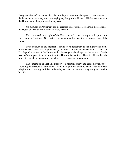Every member of Parliament has the privilege of freedom the speech. No member is liable to any actin in any court for saying anything in the House. His/her statements in the House cannot be questioned in any court.

 No member of Parliament can be arrested under civil cases during the session of the House or forty days before or after the session.

 There is a collective right of the House to make rules to regulate its procedure and conduct of business. No court is competent to call in question any proceedings of the House.

 If the conduct of any member is found to be derogatory to the dignity and status of the House, he/she can be punished by the House for his/her misbehaviour. There is a Privilege Committee of the House, which investigates the alleged misbehaviour. On the basis of the report of this Committee the House takes action. Thus, the House has the power to punish any person for breach of its privileges or for contempt.

 The members of Parliament receive a monthly salary and daily allowances for attending the sessions of Parliament They also get other benefits, such as railway pass, telephone and housing facilities. When they cease to be members, they are given pension benefits.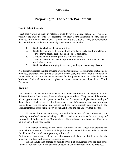# CHAPTER 3

# **Preparing for the Youth Parliament**

#### **How to Select Students**

Great care should be taken in selecting students for the Youth Parliament. As far as possible the students who are preparing for their Board Examination, may not be involved in the Youth Parliament. While selecting the students it may be remembered that the following students are generally considered to be suitable:

- 1. Students who have debating abilities.
- 2. Students who are well-informed and who have fairly good knowledge of our country's social, economic and political problems.
- 3. Students who hold merit positions in their classes.
- 4. Students who have leadership qualities and are interested in extracurricular activities.
- 5. Students who are studying in secondary and higher secondary classes.

It is further suggested that for ensuring wider participation a large number of students be involved, preferably new group of students every year, and they should be asked to collect relevant data on the topics selected for the question hour and other legislative business. Girl students should be given an equal chance to participate in the Youth Parliament.

# **Training**

The students who are studying in Delhi and other metropolitan and capital cities of different States of the country, have an advantage over others. They can avail themselves of an opportunity to see the practical working of Parliament or legislative assembly of their State. Such visits to the legislative assembly's session can provide close acquaintance with the actual proceedings and can make students conversant with the arrangements made for the members of the Lok Sabha and the State Vidhan Sabhas.

 However, this experience many not available to most of the students who are studying in mofussil towns and villages. These students can witness the proceedings of various local bodies such as Municipalities, Corporations, Zila Parishads, Panchayat Samitis and Village Panchayats.

 The teacher-in-charge of the Youth Parliament in the school first explains the composition, powers and functions of the parliament to the participating students. He/she should also ask the students to go through this book.

At this stage he/she may hold a short discussion with them and brief them abut the important points of parliamentary proceedings.

 He/she should then prepare an agenda or the List of Business with the help of the students. For each item of the business or agenda a detailed script should be prepared.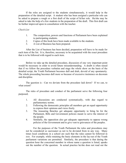If the roles are assigned to the students simultaneously, it would help in the preparation of the detailed script. A student who has been assigned a particular role can be asked to prepare a rough or a first draft of the script of hi/her role. He/she may be asked to take the help of a few students in the preparation of the draft. This first draft can be further improved upon in consultation with the teacher.

### *Check-List*

- 1. The composition, powers and functions of Parliament have been explained to participating students.
- 2. Copies of this book have been made available to the students.
- 3. A List of Business has been prepared.

After the List of business has been decided, preparation will have to be made for each item of the list. It is, therefore, necessary to be acquainted with the exact procedure that is to be followed with regard to each item.

Before we take up the detailed procedure, discussion of one very important point would be necessary in order to avoid future misunderstanding. A doubt is often raised that if we follow the procedure verbatim and stage the whole show on the basis of the detailed script, the Youth Parliament becomes dull and drab, devoid of any spontaneity. The whole proceeding becomes dull more so because of excessive insistence on decorum and discipline.

The question is : Can we deviate from the procedure laid down? If we can, to what extent?

The rules of procedure and conduct of the parliament serve the following four purposed;

- 1. All discussions are conducted systematically, with due regard to parliamentary norms.
- 2. Following the democratic principles all members get an equal opportunity to express their opinions and views freely.
- 3. The treasuring Benches get adequate opportunity to bring be for the Parliament, Bills and Government policies meant to serve the interest of the people.
- 4. Similarly, the opposition also get adequate opportunity to oppose wrong policies of the Government and to give vent to grievances of the peoples.

For the purposes of the Youth Parliament the rules and procedures may not be considered so sacrosanct as not to be deviated from in any way. Many times local conditions in a school are such that the rules cannot be followed in *toto*. For example, while retaining the basic elements in the lay-out of the Youth parliament variations are permitted. Similarly, the procedure is that during the question hour the concerned member in whose name a question is listed, speaks out the number of the question. In actual practice he/she does not read out the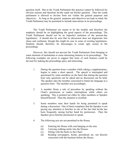question itself. But in the Youth Parliament this practice cannot be followed for obvious reasons and therefore he/she reads out his/her question. Thus the youth parliament is allowed to deviate from not violate the general purposes and objectives, As long as the general purposes and objectives are kept in mind, the Youth Parliament may be permitted to include innovations in its proceedings.

The Youth Parliament are meant to be the models and therefore the emphasis should be on highlighting the good aspects of the proceedings. The Youth Parliament should not be an imperfect imitation of the present-day legislatures. It should also be seen that its discussion does not degenerate into chaos and confusion, though this might be case in some of existing legislatures. Students should, therefore, be discourages to create ugly scenes in the proceedings.

However, this should not prevent the Youth Parliament from bringing in some elements of melodrama or some interesting features in its proceedings. The following examples are given to suggest that more of such features could be devised for making the proceedings spicy and interesting.

- 1. During the question hour a member while asking a supplementary, begins to make a short speech. The speech is interrupted and questioned by some members on the basis that during the question hour only questions can be asked and no discussion can be held. The speaker asks the member concerned to frame his language in a question form. The member acts accordingly.
- 2. A member flouts a rule of procedure by speaking without the Chair's permission or makes interruptions while others are speaking. This is pointed out either by other members or Speaker himself/herself. Then the situation is rectified.
- 3. Some members raise their hands for being permitted to speak during a discussion. One of them complains that the Speaker is not paying any attention to him/her in site of the fact that he/she has been frequently raising her/her hand for permission. Then the Speaker gives him/her permission to speak.
- 4. The following acts are not permitted in the House.
	- (a) Entering the House with coat hanging on the arm.
	- (b) Carrying walking-sticks into the Houses.
	- (c) Sitting with the backs to the Chair/
	- (d) Reading newspapers, books, periodicals etc. not directly concerned with the business before the House.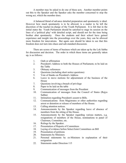A member may be asked to do one of these acts. Another member points out this to the Speaker and the Speaker asks the member concerned to stop the wrong act, which the member does.

 A balanced blend of advance detailed preparation and spontaneity is ideal. However how much spontaneity is to be allowed, is a matter to be left the discretion of the teacher-in-charge of the Youth Parliament. It is felt that in the initial states the Youth Parliament should be satisfied to stage its session on the lines of a 'political play' with detailed script, and should not for the time being brother abut spontaneity. Once the students and their school have gained experience and insight into the proceedings over the years, they can be allowed more freedom for innovations. But again care should be taken to see that this freedom does not turn into chaos and sub-standard discussion.

 There are scores of items of business which are taken up by the Lok Sabha for discussion and decision. The order in which these items are generally taken up, is as follows:

- 1. Oath or affirmation
- 2. President's Address to both the Houses of Parliament, to be laid on the Table
- 3. Obituary references
- 4. Questions (including short notice questions)
- 5. Vote of thanks on President's Address
- 6. Leave to move motions for adjournment of the business of the House
- 7. Questions involving a breach of privilege
- 8. Paper to be laid on the table
- 9. Communication of messages from the President
- 10. Communication of messages from the Council of States (Rajya Sabha)
- 11. Intimation regarding President's assent to Bills.
- 12. Communications from Magistrates or other authorities regarding arrest or detention or release of members of the House.
- 13. Calling attention notices.
- 14. Announcements by the Speaker regarding leave of absence of members from the sitting of the House.
- 15. Announcements by the Speaker regarding various matters, e.g. resignations of members of the House, nominations to panel of Chairmen, Committee, etc.
- 16. Rulings by the Speaker.
- 17. Presentation of Reports of Committees
- 18. Laying of evidence before Select/Joint Committees on Bill
- 19. Presentation of petitions
- 20. Statements by Ministers
- 21. Personal statements by ex-Ministers in explanation of their resignation
- 22. Statements under Direction 115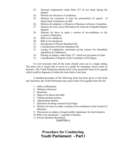- 23. Personal explanations under Rule 357 (if not made during the debate)
- 24. Motions for election to Committees
- 25. Motions for extension of time for presentation of reports of Select/Joint Committees on Bill
- 26. Motions for adoption or Reports of Business Advisory Committee
- 27. Motions for leave move Resolution for removal of Speaker/Deputy Speaker.
- 28. Motions for leave to make a motion of no-confidence in the Council of Ministers.
- 29. Bills to be withdrawn
- 30. Bills to be introduced
- 31. Introduction of Private Members bill
- 32. Consideration of Private Members bill
- 33. Laying of explanatory statements giving reasons for immediate legislation by Ordinances
- 34. Raising of matters, under Rule 377, which are not points of order
- 35. Consideration of Reports of the Committee of Privileges

It is not necessary that all the items should come up in a single sitting. The above list is meant only to serve as a guide for arranging various items of business. The Youth Parliament should select a few prominent items in its agenda which could be disposed of within the time-limit of one hour.

A detailed procedure of the following items has been given in this book and, therefore, the Youth Parliament may select items of its agenda from this list.

- 1. Oath or affirmation
- 2. Obituary references
- 3. Questions
- 4. Paper to be laid on the table
- 5. Calling attention notices
- 6. Adjournment Motion
- 7. Questions invoking a breach of privilege
- 8. Motions for leave to make a motion of no-confidence in the Council of Ministers.
- 9. Discussion on matters of urgent public importance for short duration
- 10. Bills to be introduced Legislative business
- 11. Private Members Resolution

# CHAPTER 4

# **Procedure for Conducting Youth Parliament - Part I**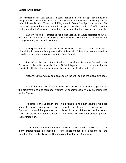#### **Seating Arrangement**

The chamber of the Lok Sabha is a semi-circular hall with the Speaker sitting in a canopied chair, placed conspicuously at the centre of the diameter connecting the two ends of the semi-circle. There is a dividing space in front of the Speaker's rostrum. The seating arrangement for members is in the shape of horseshoe. On the left of the rostrum are the seats for the Opposition and on the right are seats for the Treasury (Government).

 The lay-out of the chamber of the Youth Parliament should resemble as far as possible the lay-out of the chamber of the Lok Sabha. The lay-out with the seating arrangement is given in the illustration.

 The Speaker's chair is placed on an elevated rostrum. The Prime Minister is allotted the first seat on the right-hand side of the Chair. Others ministers are seated are seated in order of their seniority next to the Prime Minister.

 Just below the seats of the Speaker is seated the Secretary- General of the Parliament. Other officers of the House, Official Reporters, etc. are also seated at the same table. The Marshal should sit on a chair behind the Speaker on the left.

National Emblem may be displayed on the wall behind the Speaker's seat.

 A sufficient number of seats may be provided in the visitors' gallery for the diplomats and distinguished visitors. A separate gallery may be earmarked for the 'Press'.

 Placards of the Speaker, the Prime Minister and other Ministers who are going to answer questions or are going to speak and the Leader of the Opposition should be prepared and placed in front of their respective seats. There should be no placards showing the names of individual political partiesreal or imaginary.

If arrangement is made for loudspeakers, care should be taken to have as many microphones as possible. Nine microphones are ideal-one for the Speaker, four for the Treasury Benches and four for the Opposition.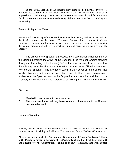In the Youth Parliament the students may come in their normal dresses. If different dresses are planned, care should be taken to see that they should not given an impression of caricaturing. The accent in the Youth Parliament is, and for the matter should be, on procedure and content and quality of discussion rather than on mimicry and caricaturing.

#### **Formal Sitting of the House**

Before the formal sitting of the House begins, members occupy their seats and wait for the Speaker to come to the House. The scene that one observes is that of informal atmosphere. Members talk among themselves, exchanging greetings and pleasantries. the Youth Parliament should try to enact this informal scene before the arrival of the Speaker.

The arrival of the Speaker is preceded by a ceremonial announcement by the Marshal heralding the arrival of the Speaker. (The Marshal remains standing throughout the sitting of the House.) Before the announcement he ensures that there is a quorum the House and thereafter he announces: "Hon'ble Members, Hon'ble the Speaker" The Members stand in their seats till the Speaker has reached his chair and taken his seat after bowing to the House. Before taking his/her seat the Speaker bows to the Opposition members first and them to the Treasury Bench members also reciprocate by bowing their heads to the Speaker.

#### *Check-list*

- 1. Marshal knows what is to be announced.
- 2. The members know that they have to stand in their seats till the Speaker has taken his seat.

#### **Oath or affirmation**

A newly elected member of the House is required to make an Oath or affirmation at he commencement of a sitting of the House. The prescribed form of Oath or affirmation is:

**"I........., having been elected (or nominated) a member of (Youth Parliament) House of the People do swear in the name of God/solemnly affirm that I will bear true faith and allegiance to the Constitution of India as by law established, that I will uphold**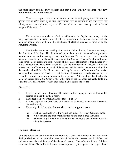#### **the sovereignty and integrity of India and that I will faithfully discharge the duty upon which I am about to enter."**

"मैं जो ......... युवा संसद का सदस्य निर्वाचित (या नाम निर्देशित) हुआ हूं ईश्वर की शपथ लेता हं/सत्य निष्ठा से प्रतिज्ञा करता हूं कि विधि) द्वारा स्थापित भारत के संविधान के प्रति श्रद्वा रखुंगा, देश ँ को प्रभुसत्ता और एकता को बनाएँ रखुंगा तथा जिस पद को मैं ग्रहण करने वाला हूं, उसके कर्त्तव्य का श्रद्वापूर्वक निर्वाह करंगा ।"

The member can make an Oath or affirmation in English or in any of the languages specified in Eighth Schedule of the Constitution. Before making an Oath the member should bring with him the certificate of election granted to him/her by the Returning Officer.

The Speaker announces making of an oath or affirmation by the new members, as the first item of the day. The Secretary-General then calls the name of newly elected members one by one for making an oath or affirmation. The member proceeds from the place he is occupying to the right-hand side of the Secretary-General's table and hands over certificate of election to him. A form of the oath or affirmation is then handed over to the member-elect. The Secretary-General asks the member whether he/she would like to take oath or affirmation and in which language. While making the oath or affirmation the member should face the Chair. After making the oath or affirmation he/she shakes hands with or wishes the Speaker. At the time of shaking of hands/wishing there is generally a loud thumping of desks by the members. After wishing the Speaker the member passes behind the Chair to the other side of the Secretary-General's table and signs the Roll of Members. He/she then takes his/her seat in the House.

#### *Check-List*

- 1. Typed copy of form of oath or affirmation in the language in which the member desires to make the oath, is ready.
- 2. The Speaker knows what he/she is supposed to say.
- 3. A typed copy of the Certificate of Election to be handed over to the Secretary-General is ready.
- 4. The newly elected member knows what he/she is supposed to do:
	- (a) First he/she should go to the right-hand side of Secretary-General's table.
	- (b) While making the oath or affirmation he/she should face the Chair.
	- (c) After making the oath or affirmation he/she should shake hands with (or wish) the Speaker.

#### **Obituary references**

Obituary references can be made in the House to a deceased member of the House or a distinguished person of national or international repute. the Speaker rises in his/her seat and announces the sad demise of the departed person. Thereafter the Prime Minister associates himself/herself with the sentiments expressed by the Speaker and pays tributes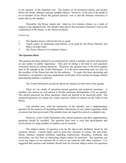to the memory of the departed soul. The leaders of all prominent parties and groups follow the Prime Minister and pay suitable tributes. However, in the case of the death of an ex-member of the House the general practice now is that the obituary references is made only by the Speaker.

 Thereafter, the House stands and observes two minutes silence as a mark of respect to the departed soul. The Speaker then directs the Secretary-General to convey the condolences of the House to the bereaved family.

#### *Check-List*

- 1. The Speaker knows what he/she has to speak.
- 2. Typed copies of statements-cum-tributes to be paid by the Prime Minister and others are kept ready.
- 3. The House observes two minutes' silence.

#### **The Question Hour**

The question has been defined as an instrument by which a member can elicit information on any matter of public importance. This part of sitting is devoted to oral questions commonly known as starred questions. Therefore, the question hour is the most popular item of the agenda in the Youth Parliament. It is the most interesting item not only for the members of the House but also for the audience. To make this hour interesting and informative, an intensive advance preparation on the part of the teacher-in-charge and the participating students is called for.

The Youth Parliament can devote about ten minutes for this item of the agenda.

 There are two kinds of questions-starred question and unstarred questions. A member who desires an oral answer to his/her questions distinguishes it by an asterisk. The starred questions are those questions which are desired to be answered orally. The unstarred questions are meant for written answers which are placed on the Table of the House.

 Any member may, with the permission of the Speaker, put a supplementary question for the purpose of elucidating further information on any matter regarding which an answer has been given and if the member does not regard the answer a complete one.

 However, in the Youth Parliament only starred questions and their supplementary questions should be included. The question hour item is such that participation and involvement of a large number of students can be ensured.

 The subject matter of question scan be the day-to-day problems faced by the common citizens. Current topics such as price-rise, increase in crimes, law and order, floods, famines, students problems regarding employment, discipline, textbooks and curriculum, can also form an interesting subject matter for questions. The questions can cover any aspect of our national life as well as our relations with other countries. It is suggested that teachers and students should look for relevant subject matter for questions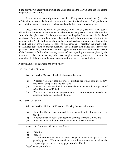in the daily newspapers which publish the Lok Sabha and the Rajya Sabha debates during the period of their sittings.

 Every member has a right to ask question. The question should specify (a) the official designation of the Minister to whom the question is addressed. And (b) the date on which the question is proposed to be placed on the list of questions for answer.

 Questions should be printed or cyclostyled in the 'List of Questions'. The Speaker will call out the name of the member in whose name the question stands. The member rises in his/her place and asks the question mentioned against his/her name in the list of questions. Though in the Lok Sabha, the member asks the question by referring to its number, in the Youth Parliament the member should read out the entire question so that the audience may know the subject matter of the questions. Thereafter, the Speaker asks the Minister concerned to answer question. The Minister then stands and answers the questions. However, the member can ask supplementary questions with the permission of the Speaker to further elucidate any matter of fact regarding the answer given by the Minister. Other members may also ask supplementary questions. It should be remembers that there should be no discussion on the answer given by the Minister.

A few examples of questions are given below:

\*501 Shri Girish Chander

Will the Hon'ble Minister of Industry be pleased to state:

- (a) Whether it is a fact that the price of printing paper has gone up by 50% this year as compared to the last year?
- (b) Whether this has resulted in the considerable increase in the prices of school book as well? And
- (c) Whether the Government proposes to taken certain steps to remedy this situation, and if so, the details thereto.

\*502 Shri K.R. Sriram

Will the Hon'ble Minister of Works and Housing be pleased to state:

- (a) How the Capital was allowed to go without water for several days together?
- (b) Whether it was an act of sabotage by a striking workers' Union? and

 $\_$  , and the contribution of the contribution of  $\mathcal{L}_\mathcal{A}$  , and the contribution of  $\mathcal{L}_\mathcal{A}$ 

(c) If yes, what action is proposed to be taken by the Government?

Answers to Question 501 can be as follows:

- (a) Yes, Sir.
- (b) Yes, Sir
- (c) The Government is taking effective steps to control the price rise of printing paper. We also intend to take suitable measures to reduce the impact of price rise of printing paper on school books.

*Supplementary questions*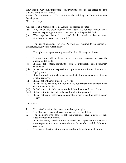How does the Government propose to ensure supply of controlled-priced books to students living in rural areas?

*Answer by the Minister*: This concerns the Ministry of Human Resource Development.

503. Km. Neerja

Will the Hon'ble Minister of Home Affairs be pleased to state:

- (a) Why the law and order situation in the Capital has not been brought under control despite regular threat to the security of the people? And
- (b) What steps have been taken to check the deterioration of law and order situation in the country as a whole?

The list of questions for Oral Answers are required to be printed or cyclostyeld, is, given in Appendix IV.

The right to ask question is governed by the following conditions.:

- (i) The question shall not bring in any name not necessary to make the question intelligible.
- (ii) It shall not contain arguments, ironical expressions and defamatory statements.
- (iii) It shall not ask for an expression of opinion or the solution of an abstract legal question.
- (iv) It shall not ask to the character or conduct of any personal except in his official capacity.
- (v) It shall not ordinarily exceed 150 words.
- (vi) It shall not be related to a matter which is not primarily the concern of the Government of India.
- (vii) It shall not ask for information set forth in ordinary works or reference.
- (viii) It shall not refer discourteously to a friendly foreign country.
- (ix) It shall not ask for information on a matter which is pending before a court of law.

*Check-List* 

- 1. The list of questions has been printed or cyclostyled.
- 2. The Ministers concerned have the answers ready with them.
- 3. The members who have to ask the questions, have a copy of their questions ready with them.
- 4. If supplementary questions are to be asked, their copies and the answers to these supplementaries are also ready with the members and the Ministries concerned.
- 5. The Speaker has the list of questions and supplementaries with him/her.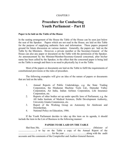# CHAPTER 5

# **Procedure for Conducting Youth Parliament – Part II**

#### **Paper to be laid on the Table of the House**

In the seating arrangement of the House the Table of the House can be seen just below the seat of the Speaker. Papers which are not read in the House, are laid on this Table for the purpose of supplying authentic facts and information. These papers prepared ground for future discussion on various matters. Generally, the papers are laid on the Table by the Ministers. However, a private member or the Secretary-General of the House can also any paper or document on the Table with the permission of the Speaker. An announcement by the Minister/Member/Secretary-General concerned, after his/her name has been called by the Speaker, to the effect that the concerned paper is being laid on the Table is enough and there is no need to physically lay it on the Table.

 Most of the papers or documents are laid on the Table to fulfil the requirements of constitutional provisions or the rules of procedure.

 The following examples will give an idea of the nature of papers or documents that are laid on the table.

- 1. Annual Reports of Public Undertakings, e.g. the State Trading Corporation, the Hindustan Machine Tools Ltd., Damodar Valley Corporation, Air India, Indian Airlines Corporation, Life Insurance Corporation, etc.
- 2. Reports of other bodies set up under specific laws of Parliament, e.g. the All India Institute of Medical Sciences, Delhi Development Authority, University Grants Commission, etc.
- 3. Report of the Working Group on Autonomy for Akshwani and Doordarshan.
- 4. National Policy on Education, 1986.

If the Youth Parliament decides to take up this item on its agenda, it should include the item in the List of Business in the following manner:

#### **PAPERS TO BE LAID ON THE TABLE**

Shri/Smt./Ms. .............................................................................. (Minister of ............................) to lay on the Table a copy of the Annual Report of the ........................... ......................... for the year ....................................along with the audit accounts and the comments of the Comptroller and Auditor-General thereon.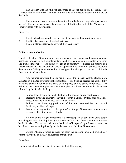The Speaker asks the Minister concerned to lay the papers on the Table. The Minister rises in his/her seat and reads out the title of the papers proposed to be laid on the Table.

If any member wants to seek information from the Minister regarding papers laid on the Table, he/she has to seek the permission of the Speaker so that that Minister may come prepared with information.

#### *Check-List*

- 1. The item has been included in the List of Business in the prescribed manner,
- 2. The Speaker knows what he/she has to say.
- 3. The Ministers concerned know what they have to say.

#### **Calling Attention Notice**

The idea of Calling Attention Notice has originated in our country itself a combination of questions for answers with supplementaries and brief comments on a matter of urgency and public importance. The members get an opportunity to express all aspects of a subject matter and the Government gets an opportunity to explain its policies regarding the matter for Calling Attention Notice. The Opposition also gets a chance to criticise the Government and its policies.

 Any member can, with the prior permission of the Speaker, call the attention of a Minister on a matter of urgent public importance. The Speaker decides the admissibility of calling attention notice on the basis of its urgency and its public importance. The following are a few examples are a few examples of subject matters which have been admitted by the Speaker in the past:

- 1. Serious food, drought or flood situation in the country or any part thereof.
- 2. Incidents involving a matter of law and order in a Union Territory such as Delhi.
- 3. Issues involving maintenance of essential services.
- 4. Serious issues involving production of important commodities such as oil, fertilizers, textiles and sugar.
- 5. Issues involving action on the part of a foreign Government which would adversely affect the interests of India.

A notice on the alleged harassment of a marriage party of Scheduled Caste people in a village in U.P., though primarily the concern of the U.P. Government, was admitted by the Speaker. The instance will show that in vie of its special significance a matter can be allowed even when it primarily lies in the domain of the State Government.

Calling Attention notice is taken up after the question hour and immediately before other items in the List of Business are taken up.

#### *Procedure*

The item is included in the List of Business in the following way: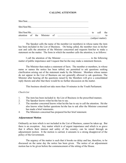# **CALLING ATTENTION**

Shri/Smt/Ms.............................................................................................

 The Speaker calls the name of the member (or members) in whose name the item has been included in the List of Business. On being called, the member rises in his/her seat and calls the attention of the Minister concerned and requests him/her to make a statement on the matter. The form in which the member calls the attention, is as follows:

 I call the attention of the Minister ............................................... to the following matter of public importance and I request that he/she may make a statement thereon.

 The Minister then makes a statement of facts. The member or members, in whose name or names the notice has been tabled, are permitted to ask questions seeking clarification arising out of the statement made by the Minister. Members whose names do not appear in the List of Business are not generally allowed to ask questions. The Minister after hearing all the questions raised by the Members will give a consolidated reply thereto and after that there would be no further discussion on the matter.

This business should not take more than 10 minutes in the Youth Parliament.

#### *Check-List*

- 1. The item has been included in the List of Business in the prescribed manner,
- 2. The Speaker knows what he/she has to say.
- 3. The member concerned knows what he/she has to say to call the attention. He/she also knows what further questions he/she has to ask after the Minister concerned has made a brief statements.
- 4. The Ministers concerned has prepared his/her brief statement.

#### **Adjournment Motion**

Ordinarily an item which is not included in the List of Business, cannot be taken up. But there is an exception. Any matter which is of urgent importance and which is so grave that it affects their interest and safety of the country, can be raised through an adjournment motion. It the motion is carried, it amounts to a strong disapproval of the policy of the Government.

The urgency of the matter is such that it brooks no delay and has, therefore, to be discussed on the same day the notice has been given. The notice of an adjournment motion has to be given before the commencement of the sitting of the House.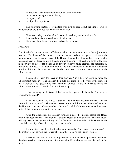In order that the adjournment motion be admitted it must

- 1. be related to a single specific issue,
- 2. be urgent, and
- 3. be of public importance.

The following instances of matters will give an idea about the kind of subject matters which are admitted for Adjournment Motion:

- 1. Situation arising out of death of persons in a railway accident/air crash.
- 2. Raids and arrests in several parts of India, and
- 3. Outbreak of cholera in different parts of the country.

#### *Procedure*

The Speaker's consent is not sufficient to allow a member to move the adjournment motion. The leave of the House is also necessary. When the Speaker call upon the member concerned to ask for leave of the House, the member, the member rises in his/her place and asks for leave to move the adjournment motion. If at least one-tenth of the total membership of the House stands up in favour of leave being granted, the adjournment motion is admitted. If less than one-tenth of the total membership stands up in favour the Speaker informs the member that he/she does not have the leave to move the adjournment.

The member asks for leave in this manner, "Sir, I beg for leave to move the adjournment motion". The Speaker then puts the question to the vote of the House in these works: "The question is that leave be granted to the member to move the adjournment motion. Those in favour will stand up.

After assessing the decision of the House, the Speaker declares that "the leave is granted/not granted".

After the leave of the House is granted, the member concerned moves: "That the House do now adjourn." The mover speaks on the definite matter which he/she wants the House to consider. Other members also speak and the Minister concerned intervenes in the debate which is replied to by the mover.

After the discussion the Speaker formally places the motion before the House with the announcement. "The motion is that the House do now adjourn. Those in favour will say 'Aye', those against will say 'No'. After assessing the verdict of the House he/she says thrice 'the Ayes/Noes have it', as the case may be.

If the motion is called, the Speaker announces that "the House now adjourns". If the motion is not carried, the House takes up other items on the List of Business.

It is suggested that the item on adjournment should be taken up towards the end of the day's session. Not more than 15 minutes should be allotted for the disposal of this item.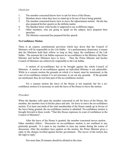# *Check-List*

- 1. The member concerned knows how to ask for leave of the House.
- 2. Members know when they have to stand up in favour of leave being granted.
- 3. The member concerned knows how to move the adjournment motion. He/she has also prepared his/her speech on the definite matter.
- 4. The Speaker know what he/she is supposed to say at different stages,
- 5. Other members, who are going to speak on the subject, have prepared their speeches.
- 6. The Minister concerned has prepared his/her speech.

# **No-Confidence Motion**

There is an express constitutional provision which lays down that the Council of Ministers will be responsible to the Lok Sabha. In a parliamentary democracy it means that the Ministers hold their offices so long as they enjoy the confidence of the Lok Sabha. The moment the Lok Sabha expresses its no-confidence in the Ministry the Prime Minister and his/her Ministers have to leave. Thus the Prime Minister and his/her Council of Ministers are collectively responsible to the Lok Sabha.

 A motion of no-confidence has to be brought against the whole Council of Ministers. A motion of no-confidence against an individual Minister is not admissible. While in a censure motion the grounds on which it is based, must be mentioned, in the case of no-confidence motion it is not necessary to set out any grounds. If the grounds are mentioned, they do not form part of the no-confidence motion.

 For a censure motion the leave of the House is not required, but for a noconfidence motion it is necessary to seek the leave of the House to move the motion.

# *Procedure*

When the Speaker calls upon the member concerned to ask for leave of the House, the member, the member rises in his/her place and asks for leave to move the no-confidence motion. If at least one-tenth of the total membership of the House stands up in favour of the leave being granted, the no-confidence motion is admitted. No-confidence motion is brought forward in these words: "That this House expresses its want of confidence in the Council of Ministers".

After the leave of the House is granted, the member concerned moves motion. . Other members follow. Discussion on no-confidence motion is not confined to any particular grounds. It is open to any member to raise any matter during the course of discussion. After the members have spoken on the motion, the Prime Minister gives a reply to the charges levelled against his/her government. The mover of the motion has the right to reply.

Not more than 20 minutes should be allotted to this item.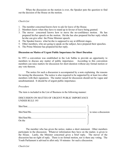When the discussion on the motion is over, the Speaker puts the question to find out the decision of the House on the motion.

## *Check-List*

- 1. The member concerned knows how to ask for leave of the House.
- 2. Members know when they have to stand up in favour of leave being granted.
- 3. The mover concerned knows how to move the no-confidence motion. He has prepared his/her speech on the motion. He/she has also prepared his/her reply which he/she can give after the Prime Minister speech.
- 4. The Speaker knows what he/she is supposed to say at different stages.
- 5. Other members, who are going to speak on the subject, have prepared their speeches.
- 6. The Prime Minister has prepared his/her reply.

## **Discussion on Mattes of Urgent Public Importance for Short Duration**

In 1953 a convention was established in the Lok Sabha to provide an opportunity to members to discuss any matter of public importance. According to this convention members can raise matters for discussion for short duration without any formal motion or any vote thereon.

 The notice for such a discussion is accompanied by a note explaining the reasons for raising the discussion. The notice is also required to be supported by at least two other members with their signatures. The matter raised for discussion should not be vague and unsubstantiated. It should be of urgent public importance.

# *Procedure*

The item is included in the List of Business in the following manner:

DISCUSSION ON MATTES OF URGENT PUBLIC IMPORTANCE UNDER RULE 193

|        | to raise a discussion |
|--------|-----------------------|
| On the |                       |
|        |                       |

 The member who has given the notice, makes a short statement. Other members participate in the discussion. Whatever information they have on the matter, is given to the House. Lastly, the Minister concerned gives a brief reply. The mover of the discussion has no right of reply. There is no formal motion, nor is there any voting. The Youth Parliament is advised to allot only 10 minutes for such a discussion.

*Check-List*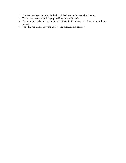- 1. The item has been included in the list of Business in the prescribed manner.
- 2. The member concerned has prepared his/her brief speech.
- 3. The members who are going to participate in the discussion, have prepared their speeches.
- 4. The Minister in charge of the subject has prepared his/her reply.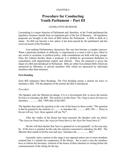## CHAPTER 6

# **Procedure for Conducting Youth Parliament – Part III**

## LEGISLATIVE BUSINESS

Lawmaking is a major function of Parliament and, therefore, in the Youth parliament the legislative business should form an important part of the list of Business. All legislative proposals are brought in the form of Bills before the Parliament. A Bills is draft of a statue. No Bill can become a law unless it has been passed by the parliament and has received assent of the President.

Law-making Parliamentary democracy like ours has become a complex process. When a particular problem or difficulty is experienced or a need is felt to give effect to any social or economic or political policy, wide consultations are held with may groups. Once the Cabinet decides about a proposal, it is drafted by government draftsmen in consultation with departmental experts and officials. Thus, the proposal is given the shape of a Bill and introduced in Parliament. Bills are either Government Bills which are sponsored by Ministers, or private members' bills which are sponsored by individual members other than ministers.

#### **First Reading**

Each Bill undergoes three Readings. The First Reading means a motion for leave to introduce a Bill. ON the adoption of the motion the Bill is introduced.

#### *Procedure*

The Speaker calls the Minister-in-charge, if it is a Government bill, to move the motion for leave to introduce the Bill. The motion is in this form: "Sir, I beg to move for leave to introduce ............... Bill, 1999 (title of the bill)".

The Speaker then puts the question to the vote of the house in these words: "The question is that be granted to the minister of .......... to introduce the .............Bill, 199...... Those in favour will say 'Aye', those against will say 'No'".

 After the verdict of the House has been assessed, the Speaker wills say thrice: "The Ayes (or Noes) have, the Ayes (or Noes) have it, the Ayes 9or Noes) have it."

 He/she will then declare that 'leave is granted (or is not granted)", as the case may be. If the leave is granted, he/she asks the minister concerned to introduce the Bill. The Minister then stands in his/her seat and says: 'introduce the .................. Bill."

 Generally such a motion at this stage is not opposed unless one or more members contend that it s outside the competence of the House,. Bu in such a case the members have to inform the Secretary -General of the house of their intention in wiritng before the commencement of the sitting for the day.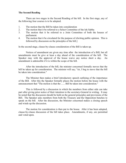#### **The Second Reading**

There are two stages in the Second Reading of the bill. In the first stage, any of the following four courses is to be adopted.

- 1. The motion that the Bill be taken into consideration
- 2. The motion that it be referred to a Select Committee of the lok Sabha
- 3. The motion that it be referred to a Joint Committee of both the houses of parliament.
- 4. The motion that it be circulated for the purpose of eliciting public opinion. This is followed by discussion on the principles of the bill.]

In the second stage, clause-by-clause consideration of the Bill is taken up.

 Notices of amendment are given any time after the introduction of a Bill, but all amendments must be give at least a day ahead of the consideration of the bill. The Speaker may with the approval of the house waive any notice short a day. An amendment is admissible if it is within the scope of the bill.

After the introduction of the bill, the minister concerned formally moves that the bill be taken up for consideration. The minister will say; "sir, I beg to move that the bill be taken into consideration."

The Minister then makes a brief introductory speech outlining of the importance of the Bill. After this the Speaker formally places the motion before the house with the announcement that "The motion is that the ...... Bill be taken into consideration."

This is followed by a discussion in which the members from either side can take part after giving prior notice of their intention to the secretary-General in wiritng. It may be noted that the discussion should be held on the general principles and provisions of the Bill. The Speaker asks members from both the Treasury and the Opposition benches to speak on the bill. After the discussion, the Minister concerned makes a closing speech and winds up the discussion.

The motion for consideration is then put to the house. After it has been adopted, clause-by-clause discussion of the bill takes place. Amendments, if any, are permitted and voted upon.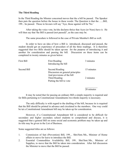## **The Third Reading**

In the Third Reading the Minster concerned moves that the a bill be passed. The Speaker then puts the question before the house in these words: The Question is that the ......Bill, 199... be passed. Those in favours will say "Aye, those against will be 'No.'

After taking the voice vote, he/she declares thrice that Ayes (or Noes) have it. He will then say that 'the Bill is passed (not passed)", as the case may be.

The same procedure is followed in the case of Private Member's Bill as well.

 In order to have an idea of how a Bill is introduced, discussed and passed, the student should get an experience of procedure of all the three readings. It is therefore suggested that two Bills should be taken up-one for the purpose of introducing it and another for consideration and passing the bill. Discussion on these items can be completed in twenty minutes as given below:

| First Bill  | <b>First Reading</b><br>Introducing the bill                                     | 3 minutes  |
|-------------|----------------------------------------------------------------------------------|------------|
| Second Bill | Second Reading<br>Discussion on general principles<br>And provisions of the bill | 15 minutes |
|             | Third Reading<br>Putting the bill to vote                                        | 2 minutes  |

 $\mathcal{L}_\text{max}$  and  $\mathcal{L}_\text{max}$  are the set of the set of the set of the set of the set of the set of the set of the set of the set of the set of the set of the set of the set of the set of the set of the set of the set o

20 minutes

 It may be noted that for passing an ordinary Bill a simple majority is required and for Bills pertaining to Constitutional Amendments two-thirds majority is necessary.

 The only difficulty is with regard to the drafting of the bill, because its is required that the Bill should be printed in advance and circulated to the members. One way could be tat a Constitutional Amendment bill may be taken up for consideration.

 However, if a Constitutional Amendment bill is considered to be difficult for secondary and higher secondary school students to comprehend and discuss, it is suggested that a general Bill on some social and economic problem may be taken up and its title may be given in the List of Business.

Some suggested titles are as follows:

- 1. Commission of Sati (Prevention) Bill, 199.... Shri/Smt./Ms., Minister of Home affairs to move for leave to introduce the Bill.
- 2. Essential Commodities Availability Bill, 199.. Shri/Smt./Ms., Minister of Supplies, to move that the Bill be taken into consideration. After full discussion the Minister to move that the Bill be passed.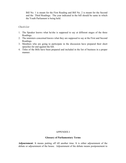Bill No. 1 is meant for the First Reading and Bill No. 2 is meant for the Second and the Third Readings. The year indicated in the bill should be same in which the Youth Parliament is being held.

#### *Check-List*

- 1. The Speaker knows what he/she is supposed to say at different stages of the three Readings.
- 2. The ministers concerned knows what they are supposed to say at the First and Second Readings.
- 3. Members who are going to participate in the discussion have prepared their short speeches for and against the bill.
- 4. Titles of the Bills have been prepared and included in the list of business in a proper manner.

## APPENDIX I

#### **Glossary of Parliamentary Terms**

**Adjournment**: It means putting off till another time. It is either adjournment of the debate or adjournment of the house. Adjournment of the debate means postponement to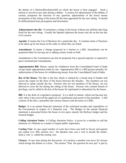the debate of a Motion/Resolution/bill on which the house is then engaged. Such a motion is moved at any time during a debate. A motion for adjournment of the debate, if carried, postpones the decision of any question. adjournment of the house means termination of the sitting of the house till the time appointed for the next sitting. It should be differentiated from prorogation and dissolution.

**Adjournment sine die:** It terminates a sitting of the house without any definite date bing fixed for the next sitting. Usually the Speaker adjourns the house sine die on the last day of its session.

**Agenda**: It means the List of Business for a particular day. It contains items of business to be taken up by the house in the order in which they are listed.

**Amendment**: It means a change proposed in a motion or a Bill. Amendment can be proposed either by leaving out or adding certain words or both.

Amendment to the Constitution can also be proposed, but a special majority is required to pass Constitutional Amendments.

**Appropriation Bill**: Money cannot be withdrawn from the Consolidated Fund of India except under appropriation made by law. Appropriation Bill is a Bill passed annually for authorization of the house for withdrawing money from the Consolidated Fund of India

**Bar of the House**: The Bar is the line which is marked by a broad strip of leather laid across the carpet on the floor of the house between the benches. The members are not allowed to speak outside the bar. Persons who are not members of the House, are not allowed to cross the bar during the sitting of the house. Persons who commit breach of privilege, can be called to the bar of the house for reprimand or admonition by the house.

**Bill**: it is the draft of a legislative proposal. It is a draft of statute, which can become law only when it has received the approval of a parliament and assent of the president. A bill consists of the title, a preamble and various clauses (sub-divisions of a Bill).

**Budge**t: It is an annual financial statement of the estimated receipts and expenditure of the Government in respect of a financial year. The Budget or the annual financial statement is presented before the house in two parts, namely the Railway budget and the General budget.

**Calling Attention Notice**: A Calling Attention Notice is given by a member to call the attention of a Minister to a matter of urgent public importance.

**Casting Vote**: In case equal number of votes have been case both in favour and against any matter (viz. Bill, motion, etc.) the Speaker may cast a vote to decide the matter. Such a vote is called the casting vote.

**Closure**: At any time during the discussion of a motion a member can move for closure which brings the debate to a close. The motion "That the question be now put" is put by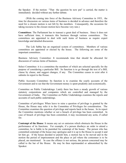the Speaker. If the motion "That the question be now put" is carried, the matter is immediately decided without any further debate.

 (With the coming into force of the Business Advisory Committee in 1953, the time for discussion on various items of business is decided in advance and therefore the need for a closure motion is not felt by the members. Consequently, the occasions for taking recourse to the closure motion have become very rare.)

**Committees**: The Parliament has to transact a great deal of business. Since it does not have sufficient time, it transacts this business through various committees. The committees are appointed to deal with such items of business as require expert knowledge and detailed discussion.

 The Lok Sabha has an organised system of committees. Members of various committees are appointed or elected by the house. The following are some of the important committees.

Business Advisory Committee: It recommends time that should be allocated for discussion of various items of business.

Select Committee: it is a committee the members of which are selected specially for the purpose of considering a particular Bill. Its function is to go through the text of a Bill, clause by clause, and suggest changes, if any. The Committee ceases to exist after it submits its report to the House.

Public Accounts Committee: Its function is to examine the yearly accounts of the Government and to see that the Government money is spent prudently and economically.

Committee on Public Undertakings: Lately there has been a steady growth of various statutory corporations and companies which are controlled and managed by the Government of India. The Committee on Public Undertakings examines the reports and accounts of such public undertakings.

Committee of privileges**:** When leave to raise a question of privilege is granted by the House, the House may refer it to the Committee of Privileges for consideration. The Committee examines the question of privilege and reports back to the house. In its report the Committee mentions whether or not a breach of privilege has been committed. In case of breach of privilege has been committed, it may recommend any actin, if called for.

**Contempt of the House**: It means any act or omission which obstructs the House in the performance of its functions. For example, if a person disobeys an order to attend a committee, he is liable to be punished for contempt of the house. The person who has committed contempt of the house may apologise and it is up to the House to accept it and let him go. If the house decided to punish him, a motion has to be moved and in the motion the period of imprisonment and the place or jail where the contemner is to be placed, are mentioned. In case the offence is not serious, the person concerned may be called to the bar of the House. He may be then reprimanded or admonished by the Speaker.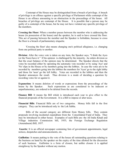Contempt of the House may be distinguished from a breach of privilege. A breach of privilege is an offence against a specific privilege of Parliament while contempt of the House is an offence amounting to an obstruction in the proceedings of the house. All breaches of privilege are contempt of the House. It is possible that a person may be guilty of a contempt of the house, but he may not have violated any specific privilege of the members.

**Crossing the Floor:** When a member passes between the member who is addressing the house (in possession of the house) and the speaker, he is said to have crossed the floor. This act of passing between the member and the Speaker is forbidden, because to cross the floor is a breach of parliamentary etiquette.

'Crossing the floor' also means changing one's political allegiance, i.e. changing from one political party to another.

**Division**: After the voice vote is taken on any item, the Speaker says, "I think the Ayes (or the Noes) have it." If his opinion is challenged by the minority , he orders division so that the exact balance of the opinion may be determined. The Speaker directs that the votes be recorded either by operating the automatic vote recorder or by suing 'Aye' and 'No' slips in the House or by members going into the lobbies. In case the votes are to be recorded by members going into the lobbies the members for 'Ayes' go to the right lobby and those for 'noes' go the left lobby. Votes are recorded in the lobbies and then the Speaker announces the result. Thus division is a mode of deciding a question by recording votes for or against it.

**Expunction**: It means deletion of words or expressions from the proceedings of the house by the Speaker. Such expressions as are considered to be indecent or unparliamentary, are ordered to be deleted from the records.

**Finance Bill**: It means the Bill whish is introduced each year to give effect to the financial proposals of the Government. It is a Bill to impose or alter taxes.

**Financial Bills**: Financial Bills are of two categories. Money bills fall in the first category. They can be introduced only in the Lok Sabha.

 Bills of the second category are different from Money bills. They contain proposals involving incidental expenditure from the Consolidated Fund of India. They may be introduced in either house. Examples of such Bills are: the All India Khadi and Village industries Commission bill, 1955; the Foreign Exchange Regulation (Amendment) Bill, 1957.

Gazette: It is an official newspaper containing lists of government appointments, legal notices, despatches and announcements, etc.

**Guillotine**: It means putting to the vote of the house all outstanding questions relating to the business on hand by the speaker on the expiry of the time allotted for the discussion of such business. Guillotine is a form of closure, but unlike closure it is applied straightway by the Speaker without any motion.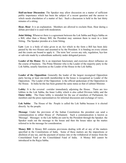**Half-an-hour Discussion**: The Speaker may allow discussion on a matter of sufficient public importance which has been the subject of a recent question and the answer to which needs elucidation of a matter of fact. Such a discussion is held in the last thirty minutes of a sitting.

**Hear, Hear**: It is an explanation. Members are allowed to exclaim Hear, Hear during a debate provided it is used with moderation.

**Joint Sitting**: Whenever there is a agreement between the Lok Sabha and Rajya Sabha on a Bill, other than a Money Bill, the President may summon them to meet in a Joint Sitting. The Speaker presides at a Joint Sitting.

**Law**: Law is a body of rules given in an Act which in the form a Bill has been duly passed by the two Houses and assented to by the President. It is binding on every citizen and the courts are bound to apply it. The term 'law' covers any rule, regulation, bye-law or sub-rule made by a subordinate authority under delegated powers.

**Leader of the House**: He is an important functionary and exercises direct influence on the course of business. The Prime Minister who is the Leader of the majority party in the Lok Sabha, usually functions as the Leader of the House in the Lok Sabha.

**Leader of the Opposition**: Generally the leader of the largest recongised Opposition party having at least one-tenth membership in the house is recognised as Leader of the Opposition. The Leader of the Opposition is the official spokesman of the Opposition in the House. In India he/she has been granted the same status as that of cabinet Minister.

**Lobby**: It is the covered corridor immediately adjoining the House. There are two lobbies in the Lok Sabha, the Inner Lobby which is also called Division lobby and the **Outer lobby**. The Outer lobby is intended for the use of members of Parliament, for members and the press representatives for informal discussion and exchange of views.

**Lok Sabha**: The House of the People is called the Lok Sabha because it is elected directly by the people.

**Message**: Under the provision of the Indian Constitution the president can send a communication to either House of Parliament. Such a communication is known as 'Message'. Messages to the Lok Sabha are sent by the President through the Speaker. the Speaker reads out the message to the house and then the house takes up the mattes referred to in the message for consideration.

**Money Bill**: A Money Bill contains provisions dealing with all or any of the matters specified in the Constitutions of India. Some of these matters are the impositions or abolition of any tax, and the payment of money into or the withdrawal of money from the Consolidated Fund or the Consolidated Fund of India. A Money Bill cannot be introduced in the Rajya Sabha.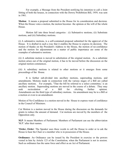For example, a Message from the President notifying his intention to call a Joint Sitting of both the houses, in connection with the Dowry Prohibition Bill, 1959, was sent in 1961.

**Motion**: It means a proposal submitted to the House for its consideration and decision. When the House votes a motion, the motion becomes the opinion or the will of the whole House.

 Motion fall into three broad categories : (i) Substantive motions; (ii) Substitute motions, and (iii) Subsidiary motions.

(i) A substantive motions, is a self-contained proposal submitted for the approval of the House. It is drafted in such a way that it enables the House to express its decision. The motion of thanks on the President's Address to the House, the motion of no-confidence and the motion for adjournment on a matter of public importance are some of the examples of substantive motions.

(ii) A substitute motion is moved in substitution of the original motion. As a substitute motion arises out of the original motion, it has to be moved before the discussion on the original motion commences.

(iii) A subsidiary motions is related to other motions or it emerges from some proceedings of the House.

 It is further sub-divided into ancillary motions, superseding motions, and amendments. Motions made in connection with the various stages of a Bill are called ancillary motions. For example, "That the bill be referred to a select committee,' is an ancillary motion. Superseding motions are moved in the course of a debate. They may seek recirculation of a Bill for eliciting further opinion. Amendments are the third type of subsidiary motions. An amendment may be to a Bill or a motion or even to an amendment.

Motion of No-Confidence is a motion moved in the House to express want of confidence in the Council of Ministers.

Cut Motion is a motion moved in the House during the discussion on the demands for grants to reduce the amount of demand. Cut motions are moved by the members of the Opposition only.

**M.P**: It means Members of Parliament. Members of Parliament can use the abbreviation 'M.P.' after their names.

**'Order, Order**: The Speaker uses these words to call the House to order or to ask the House to hear the Chair or a member who is in possession of the House.

**Ordinance**: An Ordinance can be issued by the President in exercise or the powers vested in him by Article 123 of the Constitution, when the Parliament is not in session. Such as ordinance has the same force and effect as an Act of Parliament.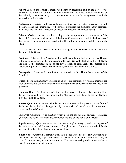**Papers Laid on the Table**: It means the papers or documents laid on the Table of the House for the purpose of bringing them on the record of the House. Papers can be laid on the Table by a Minister or by a Private member or by the Secretary-General with the permission of the Speaker.

**Parliamentary privileges**: It means the powers other than legislative, possessed by both the Houses and their members. Without these privileges the members cannot discharge their functions. Examples freedom of speech and freedom from arrest during sessions.

**Point of Order**: It means a point relating to the interpretation or enforcement of the Rules of Procedure or such Articles of the Indian Constitution as regulate the business of the House. A point of order is raised in the House for the attention and decision of the Chair.

 It can also be raised on a matter relating to the maintenance of decency and decorum of the House.

**President's Address**: The President of Indy addresses the joint sitting of the two Houses at the commencement of the first session after each General Election to the Lok Sabha and also at the commencement of the first session of each year. His address is a statement of policy of the Government and is, therefore, discussed in the House.

**Prorogation**: It means the termination of a session of the House by an order of the President.

**Question**: The Parliamentary Question is an effective technique by which a member can elicit authentic and concrete information on programmes, policies and performance of the government.

**Question Hour**: The first hour of sitting of the House each day is the Question Hour during which members ask questions and the Ministers answer them. In the Lok Sabha it is from 11 a.m. to 12 noon.

**Starred Question**: A member who desires an oral answer to his question on the floor of the house is required to distinguish it by an asterisk and therefore such a question is known as Starred Question.

**Unstarred Question:** It is question which does not call for oral answer. Unstarred Questions are listed for written answers which are laid on the Table of the House.

**Supplementary Question**: A member can ask a supplementary question arising out of the main question and demand an answer. Supplementary Questions are asked for the purpose of further elucidation on any matter of fact.

**Short Notice Question**: Normally a ten days' notice is required for any Question to be answered. However, a question relating to matter of urgent public importance may be asked for oral answer, with a shorter notice. The member asking such a question has to state the reasons for shorter notice.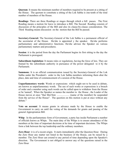**Quorum**: It means the minimum number of members required to be present at a sitting of the House. The quorum to constitute a sitting of the Lok Sabha is one-tenth of the total number of members of the House.

**Readings**: There are three Readings or stages through which a bill passes. The First Reading means a motion for leave to introduce a Bill. The Second Reading consists of discussion of the principles of the Bill and also its clause-by-clause consideration. The Third Reading means discussion on the motion that the Bill be passed.

**Secretary-General:** The Secretary-General of the Lok Sabha is a permanent official of the secretariat of the House. He/she is appointed y the speaker. He/she performs parliamentary and administrative functions. He/she advises the Speaker on various parliamentary matters and procedures.

**Session**: it is the period from the day the Parliament begins its first sitting to the day the Parliament is prorogued.

**Subordinate legislation:** It means rules or regulations, having the force of law, They are framed by the subordinate authority in pursuance of the power delegated to it by the Parliament.

**Summons**: It is an official communication issued by the Secretary-General of the Lok Sabha under the President's order to the Lok Sabha members informing them abut the place, date and time of commencement of a session of the House.

**Unparliamentary words**: Words or expressions which ought not to be used in debate, are known as unparliamentary words. The use of such works or expressions is a breach of order and a member using such words can be called upon to withdraw from the House or be 'named', When the Speaker so names the member to the House , the Leader of the House moves at once "that Shri/Smt. .................... (name of the member) be suspended from the service of the House". The question on this motion is put at once without any debate."

**Vote on account**: It means grants in advance made by the House to enable the Government to carry on until the voting of the demands for grants and passing of the general Appropriation Bill.

**Whip**: In the parliamentary form of Government, a party has inside Parliament a number of officials knows as Whips. The main duty of the Whips is to ensure attendance of the members at the time of important decisions at he time of important decisions. The Whips form a link between the top leadership and the ordinary members.

**Zero Hour**: it is of a recent origin. It starts immediately after the Question Hour. During the Zero Hour any matter not listed in the business of the House, can be raised by a member. The Zero Hour can extend to any period of time depending upon the Speaker's direction. The Government is not obliged to answer any of the questions raised in the Zero Hour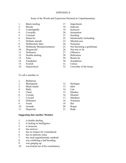## APPENDIX II

#### Some of the Words and Expression Declared as Unparliamentary

- 1. Black mailing 17. Impertinent
- 
- 3. Contemptible 19. Insincere
- 
- 
- 
- 7. Definite untruth 23. Mischievous
- 8. Deliberately false 24. Nonsense
- 
- 
- 
- 12. Double-dealing 28. Ridiculous
- 
- 14. Fraudulent 30. Scandalous
- 15. Foolish 31. Untrue
- 
- 
- 2. Bloody 18. Indecent
	-
- 4. Cowardly 20. Insinuation
- 5. Criminal 21. Insulting
- 6. Damn-lie 22. Intentionally misleading
	-
	-
- 9. Deliberate Misrepresentation 25. Not becoming a gentleman
- 10. Disgraceful 26. Not true or lie
- 11. Dishonest 27. Offensive
	-
- 13. False 29. Rotten lie
	-
	-
- 16. Hypocritical 32. Unworthy of the house

To call a member as

- 1. Barbarous
- 2. Blackguard 12. Hooligan
- 3. Black-mailer 13. Idiot
- 4. Bully 14. Liar
- 
- 
- 
- 
- 9. Fraud 19. Rat
- 10. Goonda 20. Rogue
- 11. Hypocrite 21. Rude

#### **Suggesting that another Member**

- 1. is double dealing
- 2. is lacking in intelligence
- 3. is insincere
- 4. has motives
- 5. has no respect for womanhood
- 6. has no patriotic sense
- 7. has used ungentlemanly methods
- 8. was exhibiting a bad breeding
- 9. was ganging up
- 10. was kicked out of his constituency
- 
- 
- 
- 5. Cheat 15. Monkey
- 6. Corrupt 16. Monster
- 7. Coward 17. Murderer
- 8. Dishonest 18. Nonsense
	-
	-
	-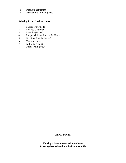- 11. was not a gentleman<br>12. was wanting in intell
- was wanting in intelligence

# **Relating to the Chair or House**

- 1. Backdoor Methods
- 2. Beloved Chairman
- 3. Imbecile (House)<br>4. Irresponsible section
- Irresponsible sections of the House
- 5. Debating Society (house)
- 6. Monkey House
- 7. Partiality (Chair)
- 8. Unfair (ruling etc.)

# APPENDIX III

**Youth parliament competition scheme for recognized educational institutions in the**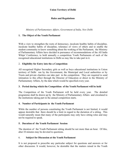# **Rules and Regulations**

*Ministry of Parliamentary Affairs, Government of India, New Delhi* 

# **1. The Object of the Youth Parliament**

With a view to strengthen the roots of democracy, inculcate healthy habits of discipline, inculcate healthy habits of discipline, tolerance of views of others and to enable the student community to know something about the working of the Parliament, the Ministry of Parliamentary Affairs have decided in pursuance of recommendations of the All India Whips' Conference, to hold annually a competition Youth Parliaments of such of the recognised educational institutions in Delhi as may like to take part in it.

# 2. **Eligibility for Entry into the a Competition**

All recognised Higher Secondary girls as well as boys educational institutions in Union territory of Delhi run by the Government, the Municipal and Local authorities or by Trusts and private charities can take part in the competition. They are required to send intimation to this effect through the Director of Education or direct to the Ministry of Parliamentary Affairs, by the date which would be specified every year.

# **3. Period during which the Competition of the Youth Parliament will be held**

The Competition of the Youth Parliament will be held every year. The detailed programme shall be drawn up by the Ministry of Parliamentary Affairs and circulated to the institutions taking part in the annual competition starts.

# **4. Number of Participants in the Youth Parliament**

While the number of persons constituting the Youth Parliament is not limited, it would appear desirable that there should be a limit in regard to the duriation of a sitting. This would naturally mean that many of the participants may only have sitting roles and may not be required to speak.

# **5. Duration of the Youth Parliament Session**

The duration of the Youth Parliament sitting should be not more than an hour. Of this, abut 10 minutes may be devoted to questions.

# 6. **Subject for Discussion at the Youth Parliament**

It is not proposed to prescribe any particular subject for questions and answers or for other discussion. It would, however, be desirable that the matters raised in the Youth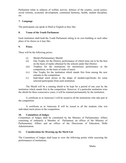Parliament relate to subjects of welfare activity, defence of the country, social justice, social reforms, economic development, communal harmony, health, student discipline, etc.

# **7. Language**

The participants can speak in Hind or English as they like.

# **8. Venue of the Youth Parliament**

Each institution shall hold the Youth Parliament sitting in its own building or such other place of its choice as it may like.

# **9. Prizes**

There will be the following prizes:

- (i) Shield (Parliamentary Shield)
- (ii) One Trophy for the District, performance of which turns out to be the best on the basis of marks obtained by the schools under that District.
- (iii) Trophies for the institutions for meritorious performance in the competition, on the basis of order of merit.
- (iv) One Trophy for the institution which stands first from among the new entrants to the competition.
- (v) Individual merit prizes in the shape of medals/cups/books for some selected participants from each institution.

The Shield will be a running shield to be kept for a period of one year by the institution which stands first in the competition. However, if a particular institution wins the shield for three consecutive years, it will be retained permanently by the institution.

A certificate as in Annexure I will be issued to all the institutions who take part in the competition.

A certificate as in Annexure II will be issued to all the students who win individual merit prizes in the competition.

# **10. Committees of Judges**

Committees of Judges shall be constituted by the Ministry of Parliamentary Affairs consisting of ordinarily a Member of Parliament, an officer of the Ministry of Parliamentary Affairs and an officer of the Directorate of Education, Delhi Administration.

# **11. Consideration for Drawing up the Merit List**

The Committees of Judges shall keep in view the following points while assessing the performances of institutions.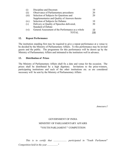| (1)   | Discipline and Decorum                           |    |
|-------|--------------------------------------------------|----|
| (ii)  | Observance of Parliamentary procedures           | 20 |
| (iii) | Selection of Subjects for Questions and          | 20 |
|       | Supplementaries and Quality of Answers thereto   |    |
| (iv)  | Selection of Subjects for Debates                | 10 |
| (v)   | Delivery or Quality of Speeches delivered,       | 30 |
|       | <b>Standard of Debate</b>                        |    |
| (V1)  | General Assessment of the Performance as a whole |    |
|       |                                                  |    |

# **12. Repeat Performance**

The institution standing first may be required to give a repeat performance at a venue to be decided by the Ministry of Parliamentary Affairs. To this performance may be invited guests and the public. The programme for this performance will be drawn up by the Ministry of Parliamentary Affairs and intimated to the institution well in advance.

# **13. Distribution of Prizes**

The Ministry of Parliamentary Affairs shall fix a date and venue for the occasion. The prizes shall be distributed by a high dignitary. Invitations to the prize-winners, participating institutions and such of the other institutions etc. as are considered necessary will be sent by the Ministry of Parliamentary Affairs

*Annexure I* 

# GOVERNMENT OF INDIA MINISTRY OF PARLIAMENTARY AFFAIRS "YOUTH PARLIAMENT " COMPETITION

*This is to certify that ..................... participated in "Youth Parliament" Competition held in the year ................."*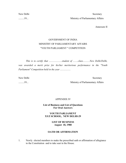New Delhi Secretary .........19... Ministry of Parliamentary Affairs

Annexure II

# GOVERNMENT OF INDIA MINISTRY OF PARLIAMENTARY AFFAIRS "YOUTH PARLIAMENT " COMPETITION

 *This is to certify that .....................student of ........class...........New Delhi/Delhi, was awarded a merit prize for his/her meritorious performance in the "Youth Parliament" Competition held in the year .................*

New Delhi Secretary .........19... Ministry of Parliamentary Affairs

## APPENDIX IV

**List of Business and List of Questions For Oral Answers** 

## **YOUTH PARLIAMENT XYZ SCHOOL, NEW DELHI-29**

#### **LIST OF BUSINESS August 18, 1980**

#### **OATH OR AFFIRMATION**

1. Newly elected members to make the prescribed oath or affirmation of allegiance to the Constitution and to take seat in the House.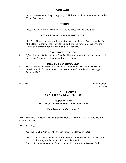#### **OBITUARY**

2. Obituary reference to the passing away of Shri Ram Mohan, an ex-member of the Youth Parliament .

# **QUESTIONS**

3. Questions entered in a separate list are to be asked and answers given.

# **PAPERS TO BE LAID ON THE TABLE**

4. Shri Ajay Gupta ("Minister of Information and Broadcasting") to lay on the Table of the House a copy of the report (Hindi and English version) of the Working Group on Autonomy for Akshwani and Doordarshan.

## **CALLING ATTENTION**

5. (i)Shri Kalyan (ii) Km. Manishi (iii) Km. Harminder Kaur to call the attention of the "Prime Minister" to the nuclear Policy of India.

## **BILL TO BE INTRODUCED**

6. Shri R. Arvindan, "Minister of Finance", to move for leave of the House to introduce a Bill further to amend the "Reduction of the Salaries of Managerial Personnel Bill."

New Delhi Navin Kumar Navin Kumar Navin Kumar Navin Kumar Navin Kumar Navin Kumar Navin Kumar Navin Kumar Navi Secretary

# **YOUTH PARLIAMENT XYZ SCHOOL, NEW DELHI-29**

# **August 18, 1980 LIST OF QUESTIONS FOR ORAL ANSWERS**

# **Total Number of Questions : 6**

(Prime Minister, Ministers of law and justice, Home Affairs, External Affairs, Health, Work and Housing)

\*201 Km. Gayatri

Will the Hon'ble Minister of Law and Justice be pleased to state:

- (a) Whether many names of eligible voters were missing from the Electoral Roll during the Seventh Lok Sabha Elections?
- (b) If yes, what were the factors responsible for these omissions? And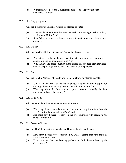- (c) What measures does the Government propose to take prevent such occurrence in future?
- \*202 Shri Sanjay Agrawal

Will the Minister of External Affairs be pleased to state:

- (a) Whether the Government is aware the Pakistan is getting massive military aid from the U.S.A.? and
- (b) If so, What measures has the Government taken to strengthen the national defence?
- \*203 Km. Gayatri

Will the Hon'ble Minister of Law and Justice be pleased to state:

- (a) What steps have been taken to check the deterioration of law and order situation in the country as a whole? And
- (b) Why the law and order situation in the capital has not been brought under control despite regular threats to the security of the people?
- \*204 Km. Gurpreet

Will the Hon'ble Minister of Health and Social Welfare be pleased to state:

- (a) Is it a fact that 60% of the health budget is spent on urban population although they comprise only 20% of the Indian population? and
- (b) What steps does the Government propose to take to equitably distribute the money all over the country?
- \*205 Km. Renu Kohli

Will the Hon'ble Prime Minister be pleased to state:

- (a) What steps have been taken by the Government to get uranium from the U.S.A. for the Tarapur Atomic Plant? and
- (b) Are there any differences between the two countries with regard to the supply of uranium?
- \*206 Km. Praveen Chauhan

Will the Hon'ble Minister of Works and Housing be pleased to state:

- (a) How many houses were constructed by D.D.A. during this year under its various schemes? And
- (b) To what extent has the housing problem in Delhi been solved by the Government?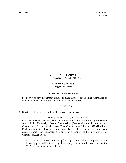# **YOUTH PARLIAMENT XYZ SCHOOL,** MADRAS

# **LIST OF BUSINESS August 18, 1986**

# **OATH OR AFFIRMATION**

1. Members who have not already done so to make the prescribed oath or Affirmation of allegiance to the Constitution and to take seat in the House.

# **QUESTIONS**

2. Question entered in a separate list to be asked and answers given.

#### PAPERS TO BE LAID ON THE TABLE

- 3. Km. Veena Ramakrishnan ("Minister of Education and Culture") to lay on Table a copy of the University Grants Commission (Disqualification, Retirement and Conditions of Service of Members) (Second Amendment) Rules, 1978 (Hindi and English versions) published in Notification No. G.S.R. 16 in the Gazette of India dated 6 March, 1979, under Sub-Section (3) of Section 25 of the University Grants Commission Act, 1956.
- 4. Km. Madhu ("Minister of Industry") to lay on the Table a copy each of the following papers (Hindi and English versions) under Sub-Section (1) of Section 619A of the Companies Act, 1956: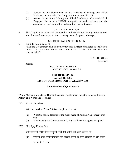- (i) Review by the Government on the working of Mining and Allied Machinery Corporation Ltd. Durgapur, for tie year 1977-78.
- (ii) Annual report of the Mining and Allied Machinery Corporation Ltd. Durgapur, for tie year 1977-78 alongwith the audit accounts and the comments of the Comptroller and Auditor-General thereon.

## CALLING ATTENTION

5. Shri Ajay Kumar Dua to call the attention of the Minister of Energy to the serious situation that has developed in the country due to the power shortage.

#### SHORT DURATION DISCUSSION

6. Kum. R. Saroja to move "That the Government of India's policy towards the right of children as spelled out in the U.N. Resolution on the international Year of the Child be taken into consideration".

> C.S. SHEKHAR **Secretary**

Madras

#### **YOUTH PARLIAMENT XYZ SCHOOL,** MADRAS

# **LIST OF BUSINESS August 18, 1986 LIST OF QUESTIONS FOR ORAL ANSWERS**

#### **Total Number of Questions : 6**

(Prime Minister, Minister of Human Resource Development Industry Defence, External Affairs and Works and Housing)

\*501 Km. R. Jayashree

Will the Hon'ble Prime Minister be pleased to state:

- (a) What the salient features of the much made of Rolling Plan concept are? and
- (b) What exactly the Government is trying to achieve through such a plan?
- \*502 Shri Ajay Kumar Dua

क्या माननीय शिक्षा और संस्कृति मंत्री यह बताने का कष्ट करेंगी कि

(क) राष्ट्रीय प्रौढ शिक्षा कार्यक्रम को सफल बनाने के लिए सरकार ने क्या कदम उठाये हैं ? तथा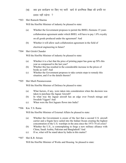- (ख) क्या इस कार्यक्रम पर किए गए भारी) खर्च से प्रारम्भिक शिक्षा की प्रगति पर प्रभाव नहीं पड़ेगा ?
- \*503 Shri Ramesh Sharma

Will the Hon'ble Minister of industry be pleased to state:

- (a) Whether the Government proposes to permit the BHEL-Siemens 15 years collaboration agreement under which BHEL will have to pay 1.8% royalty on all goods produced under the agreement? And
- (b) Whether it will allow such collaboration agreement in the field of electrical engineering in future?
- \*504 Shri Girish Chander

Will the Hon'ble Minister of industry be pleased to state:

- (a) Whether it is a fact that the price of printing paper has gone up 50% this year as compassed to the last year?
- (b) Whether this has resulted in the considerable increase in the prices of books as well? And
- (c) Whether the Government proposes to take certain steps to remedy this situation, and if so the details thereto?
- \*505 Shri Murli Parameswaran

Will the Hon'ble Minister of Defence be pleased to state:

- (a) What factors, if any, were taken into consideration when the decision was taken to purchase the Jaguar Aircraft?
- (b) In what way the Jaguar aircraft has an edge over French mirage and Swedish Viggen? And
- (c) When were the first Jaguars flown into India?
- \*506 Km. T.S. Rama

Will the Hon'ble Minister of External Affairs be pleased to state:

- (a) Whether the Government is aware of the fact that a second U.S. aircraft carrier and a frigate have sailed into the Indian Ocean creating the highest concentration of the U.S. warships in the area since the 1973-74 oil crisis?
- (b) Whether the U.S., is contemplating to forge a new military alliance with China, Saudi Arabia, Pakistan and Bangladesh? And
- (c) If so, what will be stand taken by India in this matter?
- \*507 Shri K.R. Sriram

Will the Hon'ble Minister of Works and Housing be pleased to state: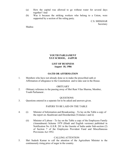- (a) How the capital was allowed to go without water for several days together? And
- (b) Was it because the striking workers who belong to a Union, were supported by a section of the ruling party.

C.S. SHEKHAR Secretary

Madras

#### **YOUTH PARLIAMENT XYZ SCHOOL, JAIPUR**

## **LIST OF BUSINESS August 18, 1986**

# **OATH OR AFFIRMATION**

1. Members who have not already done so to make the prescribed oath or Affirmation of allegiance to the Constitution and to take seat in the House.

#### **OBITUARY**

2. Obituary reference to the passing away of Shri Ram Vilas Sharma, Member, Youth Parliament .

#### **QUESTIONS**

3. Questions entered in a separate list to be asked and answers given.

#### PAPERS TO BE LAID ON THE TABLE

- 4. (i) Minister of Information and Broadcasting To lay on the Table a copy of the report on Akashwani and Doordarshan (Volumes i and ii)
	- (ii) Minister of Labour To lay on the Table a copy of the Employees Family (Amendment) Scheme 1979 (Hindi and English versions) published in Notification No. G.S.R. 201 in the Gazette of India under Sub-section (2) of Section 7 of the Employees Provident Fund and Miscellaneous Provisions Act 1952.

#### CALLING ATTENTION

5. Shri Sudesh Kumar to call the attention of the Agriculture Minister to the continuously rising price of sugar in the country.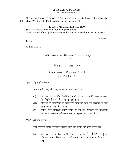#### LEGISLATIVE BUSINESS *Bill for introduction*

Shri Anjan Kumar ("Minister of Education") to move for leave to introduce the Child Labour Welfare Bill, 1980, and also to introduce the Bill.

# PRIVATE MEMBER RESOLUTION Shri Hari Prasad to move the following resolution:

"This house is of the opinion that the voting age be reduced from 21 to 18 years."

Secretary

Jaipur

APPENDIX IV

# राजकीय उच्चतर माघ्यमिक कन्या विघालय, जयपुर युवा संसद

.<br>मंगलवार, 19 अगस्त 1986

# मौखिक उत्तरों के लिए प्रश्नों की सूची कूल प्रश्न संख्या 5

 $*501$  श्री सुशील कुमार

क्या माननीय गह मंत्री यह बताने की क्रपा करेंगे कि:

- (के व्या यह सच है कि दिल्ली में पिदले दो वर्षों से शान्ति और व्यवस्था कि स्थिति निरंतर बिगडती जा रही है ।
- (ख) यदि हां तो नागरिकों की जान तथा माल की रक्षा हेतु सरकार ने क्या ठोस कदम उठाए हैं । तथा
- (ग) शान्ति और व्यवंस्था बनाए रखने में जो कि सरकार का प्राथमिक कर्त्तव्य है, सरकार की असफलता का मुख्य कारण क्या है ।

 $*502$  श्री हरि प्रसाद

क्या माननीय मानव संसाधन विकास मंत्री यह बताने की क्रपा करेंगे कि:

(क) क्या यह सच है कि सताधारी दल ने चुनाव से पूर्व अपने चुनाव घोषणा-पत्र में पब्लिक स्कूलों को समाप्त करने का वायदा किया था । तथा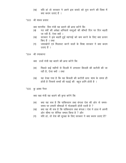(ख) यदि हां तो सरकार ने अपने इस वायदे को पूरा करने की दिशा में क्या कदम उठाए हैं ।

 $*503$  श्री माधव प्रसाद

क्या माननीय वित्त मंत्री यह बताने की क्रपा करेंगे कि:

- (क) गत वर्षो की अपेक्षा अनिवार्य वस्तूओं की कीमतें दिन पर दिन बढती जा रही हैं, ऐसा क्यों ।
- (ख) सरकार ने इस बढती हुई महंगाई को कम करने के लिए क्या प्रत्यन किए हैं । तथा
- (ग) जमाखोरों एवं मिलावट करने वालों के विरुद्द सरकार ने क्या कदम उठाए $*$ ।

 $*504$  श्री रमाकान्त

- क्या उर्जा मंत्री यह बताने की क्रपा करेंगे कि:
- (क) पिछले कई महीनों से दिल्ली में लगातार बिजली की कटौती की जा रही है, ऐसा क्यों । तथा
- (ख) यह देखा गया है कि यह बिजली की कटौती प्राय: शाम के समय ही होती है जिससे बच्चों की पढाई की बहुत हानि होती है ।
- $*505$  कुआशा नैयर

क्या रक्षा मंत्री यह बताने की कृपा करेंगे कि:

- (क) वया यह सच है कि पाकिस्तान तथा बंगला देश की ओर से समय-समय पर हमारी सीमाओं में गोलाबारी होती रहती है ?
- (ख) क्या यह भी सच है कि पाकिस्तान तथा बंगला ा देश ने हाल में अपनी ओर सीमा पर सैनिक जमाव किया है ? और
- (ग) यदि हां, तो देश की सुरक्षा के लिए सरकार ने क्या कदम उठाए हैं?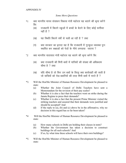# *Some More Questions*

- $*1$  क्या माननीय मानव संसाधन विकास मंत्री महोदय यह बताने की कृपा करेंगे कि:
	- (क) जिंघानी में कितने स्कूलों में बच्चों के बैठने के लिए कोई फर्नीचर नहीं हैं ?
	- (ख) यह स्थिति कितने वर्षो से चली आ रही है ? तथा
	- (ग) क्या सरकार का इरादा यह है कि राजधानी में गुरकुल व्यवस्था पुन: <u>रथापित कर कक्षाओं को पेडों के नीचे लगवाया ँजाएगा ?</u>
- \*2 व्या माननीय यातायात मंत्री महोदय यह बताने की कृपा करेंगे कि:
	- (क) क्या राजधानी की मिनी बसों में यात्रियों की संख्या की अधिकतम सीमा है ? तथा
	- (ख) यदि सीमा है तो फिर उन बसों के विरद्व क्या कार्यवाही की जाती है <u>जो यात्रियों को भेड-बकरियों की तरह मिनी बसों में भरते हैं ?</u>
- \*3. Will the Hon'ble Minister of Human Resource Development be pleased to state:
	- (a) Whether the Joint Council of Delhi Teachers have sent a Memorandum for the revision of their pay scales?
	- (b) Whether it is also a fact that the teachers went on strike during the Janata Regime to press their demands?
	- (c) Whether it is also a fact that the present Prime Minister visited the striking teachers and assured that their demands were justified and should be accepted? And
	- (d) If the reply to (a), (b) and (c) above be in the affirmative, why no decision in this regard has so far been taken?
- \*4 Will the Hon'ble Minister of Human Resource Development be pleased to state:
	- (a) How many schools in Delhi are holding their classes in tents?
	- (b) Whether the Government has taken a decision to construct buildings for all such schools? And
	- (c) If so, by what time these schools will have their own buildings?
- \*5. Will the Hon'ble Minister of Human Resource Development be pleased to state: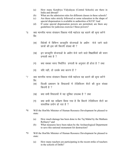- (a) How many Kendriya Vidyalayas (Central Schools) are there in India and abroad?
- (b) What are the admission rules for different classes in these schools?
- (c) Are these rules strictly followed or some relaxation in the shape of special dispensation is available to authorities of KVS? And
- (d) If some special dispensation powers are permitted, are there any guidelines for judicious exercise f these powers?
- $^*$ 6  $\;$  क्या माननीय मानव संसाधन विकास मंत्री महोदय यह बताने की कृपा करेंगे कि:
	- (क) विदेशों में विभिन्न छात्रवृत्ति योजनाओं के अधीन भेजे जाने वाले छात्रों की इस वर्ष कितनी संख्या थी ?
	- (ख) इन छात्रवृत्ति योजनाओं के अधीन भेजे जाने वाले शिक्षार्थियों की चयन प्रणाली क्या है ?
	- (ग) क्या सबका चयन निर्धारित) प्रणाली के अनुसार ही होता है ? तथा
	- (घ) यदि नहीं, तो उसके क्या कारण हैं ?
- \*7 क्या माननीय मानव संसाधन विकास मंत्री महोदय यह बताने की कृपा करेंगे कि:
	- (क) दिल्ली प्रशासन के विघालयों में टेलिविजन सैटों की कूल संख्या कितनी है ?
	- (ख) क्या सभी विघालयों में यह सुविधा उपलब्ध है ? तथा
	- (ग) व्या कभी यह सर्वेक्षण किया गया है कि कितने टेलिविजन सैटों का वास्तविक प्रयोग हो रहा है ?
- \*8 Will the Hon'ble Minister of Human Resource Development be pleased to state:
	- (a) How much damage has been done to the Taj Mahal by the Mathura Refinery? and
	- (b) What measures have been taken by the Archaeological Department to save this national monument for destruction?
- \*9 Will the Hon'ble Minister of Human Resource Development be pleased to state:
	- (a) How many teachers are participating in the recent strike of teachers in the schools of Delhi?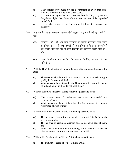- (b) What efforts were made by the government to avert this strike which is the third during the last six years?
- (c) Is it true that pay scales of schools teachers in U.P., Haryana and Punjab are higher than those of the school teachers of the capital of India? And
- (d) If so, what steps is the Government taking to remove this disparity?
- \*10 व्या माननीय मानव संसाधन विकास मंत्री महोदय यह बताने की कृपा करेंगे कि:
	- (क) जनवरी 1981 से अब तक सरकार ने उनके मंत्रालय तथा उनसे सम्बन्धित कार्यालयों तथा स्कूलों में अनुसूचित जाति तथा जनजातियों को कितने पद दिए गए हैं और कितनों को पदोन्नत किया गया है ? और
	- (ख) हिंगक्षा के क्षेत्र में इन जातियों के आरक्षण के लिए सरकार की क्या नीति है $?$
- \*11 Will the Hon'ble Minister of Human Resource Development be pleased to state:
	- (a) The reasons why the traditional game of hockey is deteriorating in quality in the country? And
	- (b) What steps are being taken by the Government to restore the status of Indian hockey in the international field?
- \*12 Will the Hon'ble Minister of Home Affairs be pleased to state:
	- (a) How many cases of chain-snatchers were apprehended and prosecuted? And
	- (b) What steps are being taken by the Government to prevent recurrence of such crimes?
- \*13 Will the Hon'ble Minister of Home Affairs be pleased to state:
	- (a) The number of dacoities and murders committed in Delhi in the last three months.
	- (b) The number of criminals arrested and action taken against them, and
	- (c) What steps the Government are taking to minimise the recurrence of such cases to improve law and order in Delhi?
- \*14. Will the Hon'ble Minister of Home Affairs be pleased to state:
	- (a) The number of cases of eve-teasing in Delhi.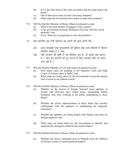- (b) Is it a fact that most of the cases are held at the bus stops and in the buses?
- (c) Out of them how many are the University students?
- (d) What steps the Government have taken to stop such incidents?
- \*15. Will the Hon'ble Minister of Home Affairs be pleased to state:
	- (a) What is the total number of beggars in the country?
	- (b) Is the government seriously thinking to do away with this social problem? And
	- (c) If yes, What are its proposals to solve the problem?
- $*$ 16 क्या माननीय गृह मंत्री महोदय यह बताने की कृपा करेंगे कि:
	- (क) अल्प संख्यकों तथा मुसलमानों की पुलिस तथा अन्य विभागों में कितने प्रतिशत संख्या है ? तथा
	- (ख) यदि सरकार की दृष्टि में यह प्रतिशत कम है, तो इसके क्या कारण हैं ? और इन कारणों को दूर करने के लिए सरकार कौन से कदम उठा रही है ?
- \*17. Will the Hon'ble Minister of Law and Justice be pleased to state:
	- (a) How many cases are pending in the Supreme Court and High Courts of various states in India? And
	- (b) What steps are being taken by the Government to provide speedy trial of cases in our judicial courts?
- \*18 Will the Hon'ble Minister of Home Affairs be pleased to state:
	- (a) Whether on the pretext of foreign National issue agitators in Assam and Mizoram have killed many outstanding Indian Scientists who were working in the public undertaking in these States?
	- (b) Whether the police administration in these States has secretly collaborated with the agitators in annihilating the linguistic minorities?
	- (c) Whether the agitators are being helped with finance and arms by foreign agencies/ and
	- (d) What steps are being taken by the Government to identify and repatriate the foreigners settled in the eastern States?
- \*19 Will the Hon'ble Minister of Home Affairs be pleased to state:
	- (a) Whether the recent communal riots in Nalanda were the offshoot of election rivalry of certain political leaders?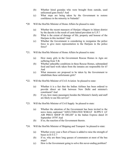- (b) Whether hired goondas who were brought from outside, used unlicensed guns freely? And
- (c) What steps are being taken by the Government to restore confidence in the minority in Nalanda?
- \*20 Will the Hon'ble Minister of Home Affairs be pleased to state:
	- (a) Whether the recent massacre of Harijan villagers in Jalaun district by the dacoits is the result of caste hatred prevalent in U.P.?
	- (b) What is the extent of damage of life, property and honour of the Harijans in this incident? And
	- (c) Whether the Government is considering to reorganise the police force to give more representation to the Harijans in the police force?
- \*21. Will the Hon'ble Minister of Home Affairs be pleased to state:
	- (a) How many girls in the Government Rescue Homes in Agra are suffering from T.B.
	- (b) Whether unhealthy conditions in these Rescue Homes, substandard food and hard work taken from the inmates are responsible for it? And
	- (c) What measures are proposed to be taken by the Government to rehabilitate these unfortunate girls?
- \*22. Will the Hon'ble Minister of Civil Aviation be pleased to state:
	- (a) Whether it is a fact that the Indian Airlines has been ordered to provide direct air link between New Delhi and minister's constituent? And
	- (b) If yes, how many passengers besides the Minister's family and staff are likely to use this service?
- \*23. Will the Hon'ble Minister of Civil Supply be pleased to state:
	- (a) Whether the attention of the Government has been invited to the news items captioned "ADULTERATED WHEAT SUPPLY AT AIR PRICE SHOP IN DELHI" in the Indian Express dated 24 September 1979? And
	- (b) If so, the reaction of the Government thereto.
- \*24. Will the Hon'ble Minister of Shipping and Transport be pleased to state:
	- (a) Whether every year a fleet of buses is added to raise the strength of buses in D.T.C.?
	- (b) If so, why are there long queues of commuters at most of the bus stops?
	- (c) How is the Government going to solve this never-ending problem?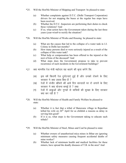- \*25. Will the Hon'ble Minister of Shipping and Transport be pleased to state:
	- (a) Whether complaints against D.T.C. (Delhi Transport Corporation) drivers for not stopping the buses at the regular bus stops have been received.
	- (b) Whether the D.T.C. Inspectors are performing their duites to check these violations? And
	- (c) If so, what action have the Government taken during the last three years (year-wise0 to rectify the situation?
- \*26. Will the Hon'ble Minister of Works and Housing be pleased to state:
	- (a) What are the causes that led to the collapse of a water tank in J.J. Colony in Delhi last months?
	- (b) How many persons died or were seriously injured as a result of the collapse of this water tank?
	- (c) What help or compensation has been offered to the injured or the next of kins of the deceased? And
	- (d) What steps does the Government propose to take to prevent recurrence of such incidents in the Government buildings?
- $*27$  क्या माननीय रेल मंत्री महोदय यह बताने की कृपा करेंगे कि:
	- (क) इस वर्ष कितनी रेल दुर्घटनाएं हुई हैं और उनको रोकने के लिए सरकार ने क्या उपाय किए हैं ?
	- (ख) जेलों में जंजीर खींचने की आये दिन वारदातों पर रो लगाने के लिए सरकार ने क्या योजना बनाई है ? तथा
	- (ग) रेलों में डाकूओं और गुण्डों से यात्रियों की सुरक्षा के लिए सरकार क्या कर रही है ?
- \*28. Will the Hon'ble Minister of Health and Family Welfare be pleased to state:
	- (a) Whether it is fact that a tribal of Banswara village in Rajasthan killed his wife on  $26<sup>th</sup>$  April for as childish a reasons as delay in serving him good?
	- (b) If it is so, what steps is the Government taking to educate such tribals?
- \*29. Will the Hon'ble Minister of Steel, Mines and Coal be pleased to state:
	- (a) Whether owners of unauthorised mica mines in Bihar are ignoring minimum safety measures causing frequent accidental deaths of mine worker?
	- (b) Whether lack of minimum health and medical facilities for these miners, have spread the deadly diseases of T.B. in the area? And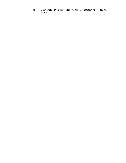(c) What steps are being taken by the Government to rectify the situation?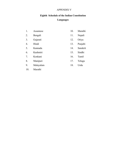# APPENDIX V

# **Eighth Schedule of the Indian Constitution Languages**

- 1. Assamese 10. Marathi
- 2. Bengali 11. Nepali
- 3. Gujarati 12. Oriya
- 4. Hindi 13. Punjabi
- 5. Kannada 14. Sanskrit
- 6. Kashmiri 15. Sindhi
- 7. Konkani 16. Tamil
- 8. Manipuri 17. Telugu
- 9. Malayalam 18. Urdu
- 10. Marathi
- 
- 
- 
- 
-